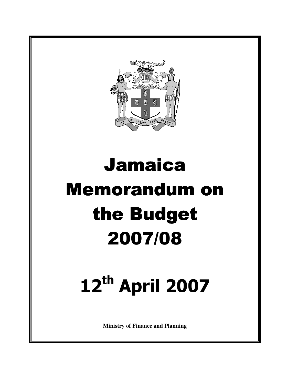

# Jamaica Memorandum on the Budget 2007/08

# 12th April 2007

**Ministry of Finance and Planning**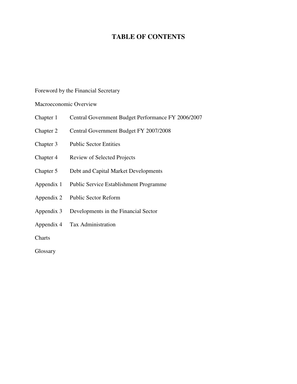# **TABLE OF CONTENTS**

Foreword by the Financial Secretary

Macroeconomic Overview

- Chapter 1 Central Government Budget Performance FY 2006/2007
- Chapter 2 Central Government Budget FY 2007/2008
- Chapter 3 Public Sector Entities
- Chapter 4 Review of Selected Projects
- Chapter 5 Debt and Capital Market Developments
- Appendix 1 Public Service Establishment Programme
- Appendix 2 Public Sector Reform
- Appendix 3 Developments in the Financial Sector
- Appendix 4 Tax Administration

**Charts** 

Glossary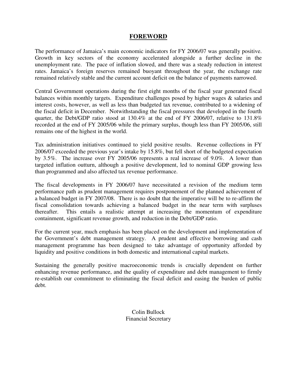#### **FOREWORD**

The performance of Jamaica's main economic indicators for FY 2006/07 was generally positive. Growth in key sectors of the economy accelerated alongside a further decline in the unemployment rate. The pace of inflation slowed, and there was a steady reduction in interest rates. Jamaica's foreign reserves remained buoyant throughout the year, the exchange rate remained relatively stable and the current account deficit on the balance of payments narrowed.

Central Government operations during the first eight months of the fiscal year generated fiscal balances within monthly targets. Expenditure challenges posed by higher wages & salaries and interest costs, however, as well as less than budgeted tax revenue, contributed to a widening of the fiscal deficit in December. Notwithstanding the fiscal pressures that developed in the fourth quarter, the Debt/GDP ratio stood at 130.4% at the end of FY 2006/07, relative to 131.8% recorded at the end of FY 2005/06 while the primary surplus, though less than FY 2005/06, still remains one of the highest in the world.

Tax administration initiatives continued to yield positive results. Revenue collections in FY 2006/07 exceeded the previous year's intake by 15.8%, but fell short of the budgeted expectation by 3.5%. The increase over FY 2005/06 represents a real increase of 9.0%. A lower than targeted inflation outturn, although a positive development, led to nominal GDP growing less than programmed and also affected tax revenue performance.

The fiscal developments in FY 2006/07 have necessitated a revision of the medium term performance path as prudent management requires postponement of the planned achievement of a balanced budget in FY 2007/08. There is no doubt that the imperative will be to re-affirm the fiscal consolidation towards achieving a balanced budget in the near term with surpluses thereafter. This entails a realistic attempt at increasing the momentum of expenditure containment, significant revenue growth, and reduction in the Debt/GDP ratio.

For the current year, much emphasis has been placed on the development and implementation of the Government's debt management strategy. A prudent and effective borrowing and cash management programme has been designed to take advantage of opportunity afforded by liquidity and positive conditions in both domestic and international capital markets.

Sustaining the generally positive macroeconomic trends is crucially dependent on further enhancing revenue performance, and the quality of expenditure and debt management to firmly re-establish our commitment to eliminating the fiscal deficit and easing the burden of public debt.

> Colin Bullock Financial Secretary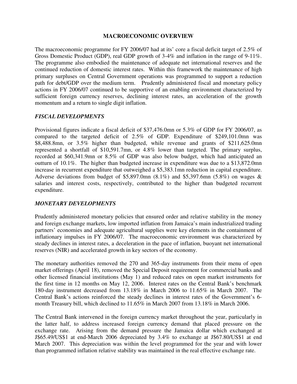#### **MACROECONOMIC OVERVIEW**

The macroeconomic programme for FY 2006/07 had at its' core a fiscal deficit target of 2.5% of Gross Domestic Product (GDP), real GDP growth of 3-4% and inflation in the range of 9-11%. The programme also embodied the maintenance of adequate net international reserves and the continued reduction of domestic interest rates. Within this framework the maintenance of high primary surpluses on Central Government operations was programmed to support a reduction path for debt/GDP over the medium term. Prudently administered fiscal and monetary policy actions in FY 2006/07 continued to be supportive of an enabling environment characterized by sufficient foreign currency reserves, declining interest rates, an acceleration of the growth momentum and a return to single digit inflation.

#### *FISCAL DEVELOPMENTS*

Provisional figures indicate a fiscal deficit of \$37,476.0mn or 5.3% of GDP for FY 2006/07, as compared to the targeted deficit of 2.5% of GDP. Expenditure of \$249,101.0mn was \$8,488.8mn, or 3.5% higher than budgeted, while revenue and grants of \$211,625.0mn represented a shortfall of \$10,591.7mn, or 4.8% lower than targeted. The primary surplus, recorded at \$60,341.9mn or 8.5% of GDP was also below budget, which had anticipated an outturn of 10.1%. The higher than budgeted increase in expenditure was due to a \$13,872.0mn increase in recurrent expenditure that outweighed a \$5,383.1mn reduction in capital expenditure. Adverse deviations from budget of \$5,897.0mn  $(8.1\%)$  and \$5,397.6mn  $(5.8\%)$  on wages & salaries and interest costs, respectively, contributed to the higher than budgeted recurrent expenditure.

#### *MONETARY DEVELOPMENTS*

Prudently administered monetary policies that ensured order and relative stability in the money and foreign exchange markets, low imported inflation from Jamaica's main industrialized trading partners' economies and adequate agricultural supplies were key elements in the containment of inflationary impulses in FY 2006/07. The macroeconomic environment was characterized by steady declines in interest rates, a deceleration in the pace of inflation, buoyant net international reserves (NIR) and accelerated growth in key sectors of the economy.

The monetary authorities removed the 270 and 365-day instruments from their menu of open market offerings (April 18), removed the Special Deposit requirement for commercial banks and other licensed financial institutions (May 1) and reduced rates on open market instruments for the first time in 12 months on May 12, 2006. Interest rates on the Central Bank's benchmark 180-day instrument decreased from 13.18% in March 2006 to 11.65% in March 2007. The Central Bank's actions reinforced the steady declines in interest rates of the Government's 6 month Treasury bill, which declined to 11.65% in March 2007 from 13.18% in March 2006.

The Central Bank intervened in the foreign currency market throughout the year, particularly in the latter half, to address increased foreign currency demand that placed pressure on the exchange rate. Arising from the demand pressure the Jamaica dollar which exchanged at J\$65.49/US\$1 at end-March 2006 depreciated by 3.4% to exchange at J\$67.80/US\$1 at end March 2007. This depreciation was within the level programmed for the year and with lower than programmed inflation relative stability was maintained in the real effective exchange rate.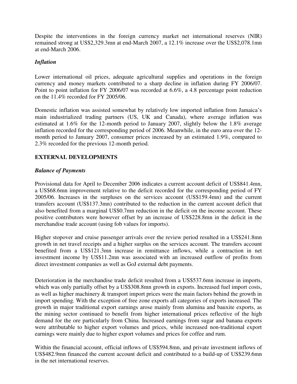Despite the interventions in the foreign currency market net international reserves (NIR) remained strong at US\$2,329.3mn at end-March 2007, a 12.1% increase over the US\$2,078.1mn at end-March 2006.

#### *Inflation*

Lower international oil prices, adequate agricultural supplies and operations in the foreign currency and money markets contributed to a sharp decline in inflation during FY 2006/07. Point to point inflation for FY 2006/07 was recorded at 6.6%, a 4.8 percentage point reduction on the 11.4% recorded for FY 2005/06.

Domestic inflation was assisted somewhat by relatively low imported inflation from Jamaica's main industrialized trading partners (US, UK and Canada), where average inflation was estimated at 1.6% for the 12-month period to January 2007, slightly below the 1.8% average inflation recorded for the corresponding period of 2006. Meanwhile, in the euro area over the 12 month period to January 2007, consumer prices increased by an estimated 1.9%, compared to 2.3% recorded for the previous 12-month period.

# **EXTERNAL DEVELOPMENTS**

#### *Balance of Payments*

Provisional data for April to December 2006 indicates a current account deficit of US\$841.4mn, a US\$68.6mn improvement relative to the deficit recorded for the corresponding period of FY 2005/06. Increases in the surpluses on the services account (US\$159.4mn) and the current transfers account (US\$137.3mn) contributed to the reduction in the current account deficit that also benefited from a marginal US\$0.7mn reduction in the deficit on the income account. These positive contributors were however offset by an increase of US\$228.8mn in the deficit in the merchandise trade account (using fob values for imports).

Higher stopover and cruise passenger arrivals over the review period resulted in a US\$241.8mn growth in net travel receipts and a higher surplus on the services account. The transfers account benefited from a US\$121.3mn increase in remittance inflows, while a contraction in net investment income by US\$11.2mn was associated with an increased outflow of profits from direct investment companies as well as GoJ external debt payments.

Deterioration in the merchandise trade deficit resulted from a US\$537.6mn increase in imports, which was only partially offset by a US\$308.8mn growth in exports. Increased fuel import costs, as well as higher machinery & transport import prices were the main factors behind the growth in import spending. With the exception of free zone exports all categories of exports increased. The growth in major traditional export earnings arose mainly from alumina and bauxite exports, as the mining sector continued to benefit from higher international prices reflective of the high demand for the ore particularly from China. Increased earnings from sugar and banana exports were attributable to higher export volumes and prices, while increased non-traditional export earnings were mainly due to higher export volumes and prices for coffee and rum.

Within the financial account, official inflows of US\$594.8mn, and private investment inflows of US\$482.9mn financed the current account deficit and contributed to a build-up of US\$239.6mn in the net international reserves.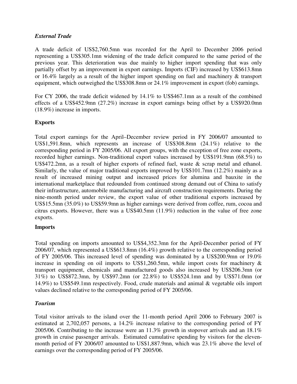#### *External Trade*

A trade deficit of US\$2,760.5mn was recorded for the April to December 2006 period representing a US\$305.1mn widening of the trade deficit compared to the same period of the previous year. This deterioration was due mainly to higher import spending that was only partially offset by an improvement in export earnings. Imports (CIF) increased by US\$613.8mn or 16.4% largely as a result of the higher import spending on fuel and machinery & transport equipment, which outweighed the US\$308.8mn or 24.1% improvement in export (fob) earnings.

For CY 2006, the trade deficit widened by 14.1% to US\$467.1mn as a result of the combined effects of a US\$452.9mn (27.2%) increase in export earnings being offset by a US\$920.0mn (18.9%) increase in imports.

#### **Exports**

Total export earnings for the April–December review period in FY 2006/07 amounted to US\$1,591.8mn, which represents an increase of US\$308.8mn (24.1%) relative to the corresponding period in FY 2005/06. All export groups, with the exception of free zone exports, recorded higher earnings. Non-traditional export values increased by US\$191.9mn (68.5%) to U\$\$472.2mn, as a result of higher exports of refined fuel, waste & scrap metal and ethanol. Similarly, the value of major traditional exports improved by US\$101.7mn (12.2%) mainly as a result of increased mining output and increased prices for alumina and bauxite in the international marketplace that redounded from continued strong demand out of China to satisfy their infrastructure, automobile manufacturing and aircraft construction requirements. During the nine-month period under review, the export value of other traditional exports increased by US\$15.5mn (35.0%) to US\$59.9mn as higher earnings were derived from coffee, rum, cocoa and citrus exports. However, there was a US\$40.5mn (11.9%) reduction in the value of free zone exports.

#### **Imports**

Total spending on imports amounted to US\$4,352.3mn for the April-December period of FY 2006/07, which represented a US\$613.8mn (16.4%) growth relative to the corresponding period of FY 2005/06. This increased level of spending was dominated by a US\$200.9mn or 19.0% increase in spending on oil imports to US\$1,260.5mn, while import costs for machinery  $\&$ transport equipment, chemicals and manufactured goods also increased by US\$206.3mn (or 31%) to US\$872.3mn, by US\$97.2mn (or 22.8%) to US\$524.1mn and by US\$71.0mn (or 14.9%) to US\$549.1mn respectively. Food, crude materials and animal & vegetable oils import values declined relative to the corresponding period of FY 2005/06.

#### *Tourism*

Total visitor arrivals to the island over the 11-month period April 2006 to February 2007 is estimated at 2,702,057 persons, a 14.2% increase relative to the corresponding period of FY 2005/06. Contributing to the increase were an 11.3% growth in stopover arrivals and an 18.1% growth in cruise passenger arrivals. Estimated cumulative spending by visitors for the elevenmonth period of FY 2006/07 amounted to US\$1,887.9mn, which was 23.1% above the level of earnings over the corresponding period of FY 2005/06.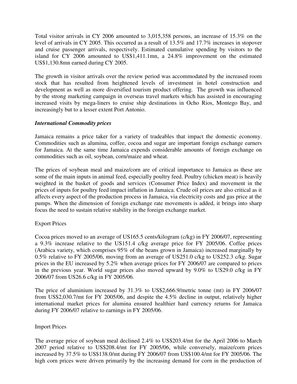Total visitor arrivals in CY 2006 amounted to 3,015,358 persons, an increase of 15.3% on the level of arrivals in CY 2005. This occurred as a result of 13.5% and 17.7% increases in stopover and cruise passenger arrivals, respectively. Estimated cumulative spending by visitors to the island for CY 2006 amounted to US\$1,411.1mn, a 24.8% improvement on the estimated US\$1,130.8mn earned during CY 2005.

The growth in visitor arrivals over the review period was accommodated by the increased room stock that has resulted from heightened levels of investment in hotel construction and development as well as more diversified tourism product offering. The growth was influenced by the strong marketing campaign in overseas travel markets which has assisted in encouraging increased visits by mega-liners to cruise ship destinations in Ocho Rios, Montego Bay, and increasingly but to a lesser extent Port Antonio.

#### *International Commodity prices*

Jamaica remains a price taker for a variety of tradeables that impact the domestic economy. Commodities such as alumina, coffee, cocoa and sugar are important foreign exchange earners for Jamaica. At the same time Jamaica expends considerable amounts of foreign exchange on commodities such as oil, soybean, corn/maize and wheat.

The prices of soybean meal and maize/corn are of critical importance to Jamaica as these are some of the main inputs in animal feed, especially poultry feed. Poultry (chicken meat) is heavily weighted in the basket of goods and services (Consumer Price Index) and movement in the prices of inputs for poultry feed impact inflation in Jamaica. Crude oil prices are also critical as it affects every aspect of the production process in Jamaica, via electricity costs and gas price at the pumps. When the dimension of foreign exchange rate movements is added, it brings into sharp focus the need to sustain relative stability in the foreign exchange market.

#### Export Prices

Cocoa prices moved to an average of US165.5 cents/kilogram (c/kg) in FY 2006/07, representing a 9.3% increase relative to the US151.4 c/kg average price for FY 2005/06. Coffee prices (Arabica variety, which comprises 95% of the beans grown in Jamaica) increased marginally by 0.5% relative to FY 2005/06, moving from an average of US251.0 c/kg to US252.3 c/kg. Sugar prices in the EU increased by 5.2% when average prices for FY 2006/07 are compared to prices in the previous year. World sugar prices also moved upward by 9.0% to US29.0 c/kg in FY 2006/07 from US26.6 c/kg in FY 2005/06.

The price of aluminium increased by 31.3% to US\$2,666.9/metric tonne (mt) in FY 2006/07 from US\$2,030.7/mt for FY 2005/06, and despite the 4.5% decline in output, relatively higher international market prices for alumina ensured healthier hard currency returns for Jamaica during FY 2006/07 relative to earnings in FY 2005/06.

#### Import Prices

The average price of soybean meal declined 2.4% to US\$203.4/mt for the April 2006 to March 2007 period relative to US\$208.4/mt for FY 2005/06, while conversely, maize/corn prices increased by 37.5% to US\$138.0/mt during FY 2006/07 from US\$100.4/mt for FY 2005/06. The high corn prices were driven primarily by the increasing demand for corn in the production of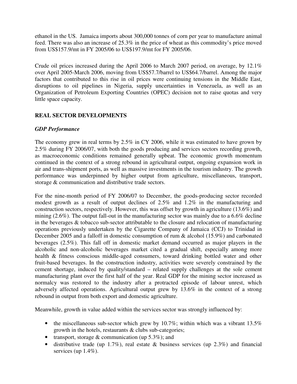ethanol in the US. Jamaica imports about 300,000 tonnes of corn per year to manufacture animal feed. There was also an increase of 25.3% in the price of wheat as this commodity's price moved from US\$157.9/mt in FY 2005/06 to US\$197.9/mt for FY 2005/06.

Crude oil prices increased during the April 2006 to March 2007 period, on average, by 12.1% over April 2005-March 2006, moving from US\$57.7/barrel to US\$64.7/barrel. Among the major factors that contributed to this rise in oil prices were continuing tensions in the Middle East, disruptions to oil pipelines in Nigeria, supply uncertainties in Venezuela, as well as an Organization of Petroleum Exporting Countries (OPEC) decision not to raise quotas and very little space capacity.

#### **REAL SECTOR DEVELOPMENTS**

#### *GDP Performance*

The economy grew in real terms by 2.5% in CY 2006, while it was estimated to have grown by 2.5% during FY 2006/07, with both the goods producing and services sectors recording growth, as macroeconomic conditions remained generally upbeat. The economic growth momentum continued in the context of a strong rebound in agricultural output, ongoing expansion work in air and trans-shipment ports, as well as massive investments in the tourism industry. The growth performance was underpinned by higher output from agriculture, miscellaneous, transport, storage & communication and distributive trade sectors.

For the nine-month period of FY 2006/07 to December, the goods-producing sector recorded modest growth as a result of output declines of 2.5% and 1.2% in the manufacturing and construction sectors, respectively. However, this was offset by growth in agriculture (13.6%) and mining (2.6%). The output fall-out in the manufacturing sector was mainly due to a 6.6% decline in the beverages & tobacco sub-sector attributable to the closure and relocation of manufacturing operations previously undertaken by the Cigarette Company of Jamaica (CCJ) to Trinidad in December 2005 and a falloff in domestic consumption of rum & alcohol (15.9%) and carbonated beverages (2.5%). This fall off in domestic market demand occurred as major players in the alcoholic and non-alcoholic beverages market cited a gradual shift, especially among more health & fitness conscious middle-aged consumers, toward drinking bottled water and other fruit-based beverages. In the construction industry, activities were severely constrained by the cement shortage, induced by quality/standard – related supply challenges at the sole cement manufacturing plant over the first half of the year. Real GDP for the mining sector increased as normalcy was restored to the industry after a protracted episode of labour unrest, which adversely affected operations. Agricultural output grew by 13.6% in the context of a strong rebound in output from both export and domestic agriculture.

Meanwhile, growth in value added within the services sector was strongly influenced by:

- the miscellaneous sub-sector which grew by 10.7%; within which was a vibrant  $13.5\%$ growth in the hotels, restaurants & clubs sub-categories;
- transport, storage  $&$  communication (up 5.3%); and
- distributive trade (up 1.7%), real estate  $\&$  business services (up 2.3%) and financial services (up 1.4%).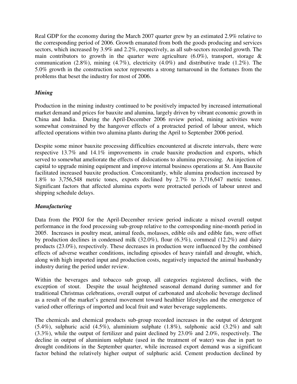Real GDP for the economy during the March 2007 quarter grew by an estimated 2.9% relative to the corresponding period of 2006. Growth emanated from both the goods producing and services sectors, which increased by 3.9% and 2.2%, respectively, as all sub-sectors recorded growth. The main contributors to growth in the quarter were agriculture (6.0%), transport, storage  $\&$ communication  $(2.8\%)$ , mining  $(4.7\%)$ , electricity  $(4.0\%)$  and distributive trade  $(1.2\%)$ . The 5.0% growth in the construction sector represents a strong turnaround in the fortunes from the problems that beset the industry for most of 2006.

## *Mining*

Production in the mining industry continued to be positively impacted by increased international market demand and prices for bauxite and alumina, largely driven by vibrant economic growth in China and India. During the April-December 2006 review period, mining activities were somewhat constrained by the hangover effects of a protracted period of labour unrest, which affected operations within two alumina plants during the April to September 2006 period.

Despite some minor bauxite processing difficulties encountered at discrete intervals, there were respective 13.7% and 14.1% improvements in crude bauxite production and exports, which served to somewhat ameliorate the effects of dislocations to alumina processing. An injection of capital to upgrade mining equipment and improve internal business operations at St. Ann Bauxite facilitated increased bauxite production. Concomitantly, while alumina production increased by 1.8% to 3,756,548 metric tones, exports declined by 2.7% to 3,716,647 metric tonnes. Significant factors that affected alumina exports were protracted periods of labour unrest and shipping schedule delays.

#### *Manufacturing*

Data from the PIOJ for the April-December review period indicate a mixed overall output performance in the food processing sub-group relative to the corresponding nine-month period in 2005. Increases in poultry meat, animal feeds, molasses, edible oils and edible fats, were offset by production declines in condensed milk (32.0%), flour (6.3%), cornmeal (12.2%) and dairy products (23.0%), respectively. These decreases in production were influenced by the combined effects of adverse weather conditions, including episodes of heavy rainfall and drought, which, along with high imported input and production costs, negatively impacted the animal husbandry industry during the period under review.

Within the beverages and tobacco sub group, all categories registered declines, with the exception of stout. Despite the usual heightened seasonal demand during summer and for traditional Christmas celebrations, overall output of carbonated and alcoholic beverage declined as a result of the market's general movement toward healthier lifestyles and the emergence of varied other offerings of imported and local fruit and water beverage supplements.

The chemicals and chemical products sub-group recorded increases in the output of detergent (5.4%), sulphuric acid (4.5%), aluminium sulphate (1.8%), sulphonic acid (3.2%) and salt (3.3%), while the output of fertilizer and paint declined by 23.0% and 2.0%, respectively. The decline in output of aluminium sulphate (used in the treatment of water) was due in part to drought conditions in the September quarter, while increased export demand was a significant factor behind the relatively higher output of sulphuric acid. Cement production declined by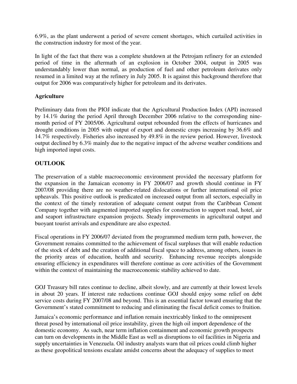6.9%, as the plant underwent a period of severe cement shortages, which curtailed activities in the construction industry for most of the year.

In light of the fact that there was a complete shutdown at the Petrojam refinery for an extended period of time in the aftermath of an explosion in October 2004, output in 2005 was understandably lower than normal, as production of fuel and other petroleum derivates only resumed in a limited way at the refinery in July 2005. It is against this background therefore that output for 2006 was comparatively higher for petroleum and its derivates.

# **Agriculture**

Preliminary data from the PIOJ indicate that the Agricultural Production Index (API) increased by 14.1% during the period April through December 2006 relative to the corresponding ninemonth period of FY 2005/06. Agricultural output rebounded from the effects of hurricanes and drought conditions in 2005 with output of export and domestic crops increasing by 36.6% and 14.7% respectively. Fisheries also increased by 49.8% in the review period. However, livestock output declined by 6.3% mainly due to the negative impact of the adverse weather conditions and high imported input costs.

# **OUTLOOK**

The preservation of a stable macroeconomic environment provided the necessary platform for the expansion in the Jamaican economy in FY 2006/07 and growth should continue in FY 2007/08 providing there are no weather-related dislocations or further international oil price upheavals. This positive outlook is predicated on increased output from all sectors, especially in the context of the timely restoration of adequate cement output from the Caribbean Cement Company together with augmented imported supplies for construction to support road, hotel, air and seaport infrastructure expansion projects. Steady improvements in agricultural output and buoyant tourist arrivals and expenditure are also expected.

Fiscal operations in FY 2006/07 deviated from the programmed medium term path, however, the Government remains committed to the achievement of fiscal surpluses that will enable reduction of the stock of debt and the creation of additional fiscal space to address, among others, issues in the priority areas of education, health and security. Enhancing revenue receipts alongside ensuring efficiency in expenditures will therefore continue as core activities of the Government within the context of maintaining the macroeconomic stability achieved to date.

GOJ Treasury bill rates continue to decline, albeit slowly, and are currently at their lowest levels in about 20 years. If interest rate reductions continue GOJ should enjoy some relief on debt service costs during FY 2007/08 and beyond. This is an essential factor toward ensuring that the Government's stated commitment to reducing and eliminating the fiscal deficit comes to fruition.

Jamaica's economic performance and inflation remain inextricably linked to the omnipresent threat posed by international oil price instability, given the high oil import dependence of the domestic economy. As such, near term inflation containment and economic growth prospects can turn on developments in the Middle East as well as disruptions to oil facilities in Nigeria and supply uncertainties in Venezuela. Oil industry analysts warn that oil prices could climb higher as these geopolitical tensions escalate amidst concerns about the adequacy of supplies to meet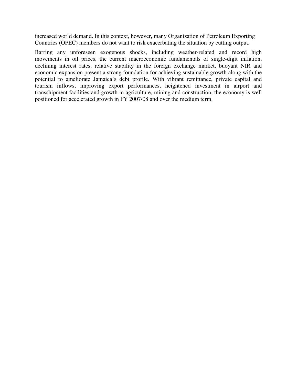increased world demand. In this context, however, many Organization of Petroleum Exporting Countries (OPEC) members do not want to risk exacerbating the situation by cutting output.

Barring any unforeseen exogenous shocks, including weather-related and record high movements in oil prices, the current macroeconomic fundamentals of single-digit inflation, declining interest rates, relative stability in the foreign exchange market, buoyant NIR and economic expansion present a strong foundation for achieving sustainable growth along with the potential to ameliorate Jamaica's debt profile. With vibrant remittance, private capital and tourism inflows, improving export performances, heightened investment in airport and transshipment facilities and growth in agriculture, mining and construction, the economy is well positioned for accelerated growth in FY 2007/08 and over the medium term.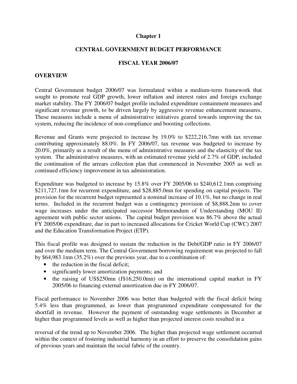#### **Chapter 1**

#### **CENTRAL GOVERNMENT BUDGET PERFORMANCE**

#### **FISCAL YEAR 2006/07**

#### **OVERVIEW**

Central Government budget 2006/07 was formulated within a medium-term framework that sought to promote real GDP growth, lower inflation and interest rates and foreign exchange market stability. The FY 2006/07 budget profile included expenditure containment measures and significant revenue growth, to be driven largely by aggressive revenue enhancement measures. These measures include a menu of administrative initiatives geared towards improving the tax system, reducing the incidence of non-compliance and boosting collections.

Revenue and Grants were projected to increase by 19.0% to \$222,216.7mn with tax revenue contributing approximately 88.0%. In FY 2006/07, tax revenue was budgeted to increase by 20.0%, primarily as a result of the menu of administrative measures and the elasticity of the tax system. The administrative measures, with an estimated revenue yield of 2.7% of GDP, included the continuation of the arrears collection plan that commenced in November 2005 as well as continued efficiency improvement in tax administration.

Expenditure was budgeted to increase by 15.8% over FY 2005/06 to \$240,612.1mn comprising \$211,727.1mn for recurrent expenditure, and \$28,885.0mn for spending on capital projects. The provision for the recurrent budget represented a nominal increase of 10.1%, but no change in real terms. Included in the recurrent budget was a contingency provision of \$8,888.2mn to cover wage increases under the anticipated successor Memorandum of Understanding (MOU II) agreement with public sector unions. The capital budget provision was 86.7% above the actual FY 2005/06 expenditure, due in part to increased allocations for Cricket World Cup (CWC) 2007 and the Education Transformation Project (ETP).

This fiscal profile was designed to sustain the reduction in the Debt/GDP ratio in FY 2006/07 and over the medium term. The Central Government borrowing requirement was projected to fall by \$64,983.1mn (35.2%) over the previous year, due to a combination of:

- the reduction in the fiscal deficit:
- significantly lower amortization payments; and
- the raising of US\$250mn (J\$16,250.0mn) on the international capital market in FY 2005/06 to financing external amortization due in FY 2006/07.

Fiscal performance to November 2006 was better than budgeted with the fiscal deficit being 5.4% less than programmed, as lower than programmed expenditure compensated for the shortfall in revenue. However the payment of outstanding wage settlements in December at higher than programmed levels as well as higher than projected interest costs resulted in a

reversal of the trend up to November 2006. The higher than projected wage settlement occurred within the context of fostering industrial harmony in an effort to preserve the consolidation gains of previous years and maintain the social fabric of the country.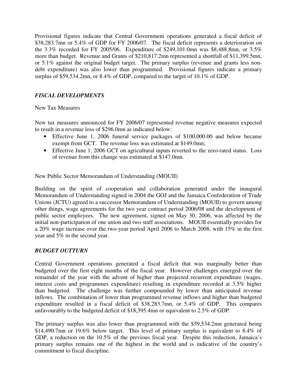Provisional figures indicate that Central Government operations generated a fiscal deficit of \$38,283.7mn or 5.4% of GDP for FY 2006/07. The fiscal deficit represents a deterioration on the 3.3% recorded for FY 2005/06. Expenditure of \$249,101.0mn was \$8,488.8mn, or 3.5% more than budget. Revenue and Grants of \$210,817.2mn represented a shortfall of \$11,399.5mn, or 5.1% against the original budget target. The primary surplus (revenue and grants less nondebt expenditure) was also lower than programmed. Provisional figures indicate a primary surplus of \$59,534.2mn, or 8.4% of GDP, compared to the target of 10.1% of GDP.

# *FISCAL DEVELOPMENTS*

#### New Tax Measures

New tax measures announced for FY 2006/07 represented revenue negative measures expected to result in a revenue loss of \$296.0mn as indicated below:

- Effective June 1, 2006 funeral service packages of \$100,000.00 and below became exempt from GCT. The revenue loss was estimated at \$149.0mn;
- Effective June 1, 2006 GCT on agricultural inputs reverted to the zero-rated status. Loss of revenue from this change was estimated at \$147.0mn.

New Public Sector Memorandum of Understanding (MOUII)

Building on the spirit of cooperation and collaboration generated under the inaugural Memorandum of Understanding signed in 2004 the GOJ and the Jamaica Confederation of Trade Unions (JCTU) agreed to a successor Memorandum of Understanding (MOUII) to govern among other things, wage agreements for the two year contract period 2006/08 and the development of public sector employees. The new agreement, signed on May 30, 2006, was affected by the initial non-participation of one union and two staff associations. MOUII essentially provides for a 20% wage increase over the two-year period April 2006 to March 2008, with 15% in the first year and 5% in the second year.

#### *BUDGET OUTTURN*

Central Government operations generated a fiscal deficit that was marginally better than budgeted over the first eight months of the fiscal year. However challenges emerged over the remainder of the year with the advent of higher than projected recurrent expenditure (wages, interest costs and programmes expenditure) resulting in expenditure recorded at 3.5% higher than budgeted. The challenge was further compounded by lower than anticipated revenue inflows. The combination of lower than programmed revenue inflows and higher than budgeted expenditure resulted in a fiscal deficit of \$38,283.7mn, or 5.4% of GDP. This compares unfavourably to the budgeted deficit of \$18,395.4mn or equivalent to 2.5% of GDP.

The primary surplus was also lower than programmed with the \$59,534.2mn generated being \$14,490.7mn or 19.6% below target. This level of primary surplus is equivalent to 8.4% of GDP, a reduction on the 10.5% of the previous fiscal year. Despite this reduction, Jamaica's primary surplus remains one of the highest in the world and is indicative of the country's commitment to fiscal discipline.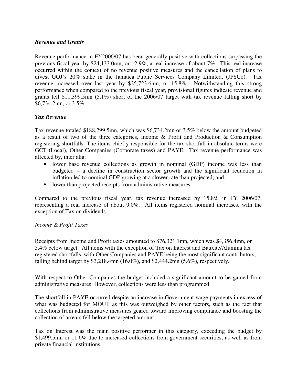#### *Revenue and Grants*

Revenue performance in FY2006/07 has been generally positive with collections surpassing the previous fiscal year by \$24,133.0mn, or 12.9%, a real increase of about 7%. This real increase occurred within the context of no revenue positive measures and the cancellation of plans to divest GOJ's 20% stake in the Jamaica Public Services Company Limited, (JPSCo). Tax revenue increased over last year by \$25,723.6mn, or 15.8%. Notwithstanding this strong performance when compared to the previous fiscal year, provisional figures indicate revenue and grants fell \$11,399.5mn (5.1%) short of the 2006/07 target with tax revenue falling short by \$6,734.2mn, or 3.5%.

#### *Tax Revenue*

Tax revenue totaled \$188,299.5mn, which was \$6,734.2mn or 3.5% below the amount budgeted as a result of two of the three categories, Income & Profit and Production & Consumption registering shortfalls. The items chiefly responsible for the tax shortfall in absolute terms were GCT (Local), Other Companies (Corporate taxes) and PAYE. Tax revenue performance was affected by, inter alia:

- lower base revenue collections as growth in nominal (GDP) income was less than budgeted – a decline in construction sector growth and the significant reduction in inflation led to nominal GDP growing at a slower rate than projected; and,
- lower than projected receipts from administrative measures.

Compared to the previous fiscal year, tax revenue increased by 15.8% in FY 2006/07, representing a real increase of about 9.0%. All items registered nominal increases, with the exception of Tax on dividends.

#### *Income & Profit Taxes*

Receipts from Income and Profit taxes amounted to \$76,321.1mn, which was \$4,356.4mn, or 5.4% below target. All items with the exception of Tax on Interest and Bauxite/Alumina tax registered shortfalls, with Other Companies and PAYE being the most significant contributors, falling behind target by \$3,218.4mn (16.0%), and \$2,444.2mn (5.6%), respectively.

With respect to Other Companies the budget included a significant amount to be gained from administrative measures. However, collections were less than programmed.

The shortfall in PAYE occurred despite an increase in Government wage payments in excess of what was budgeted for MOUII as this was outweighed by other factors, such as the fact that collections from administrative measures geared toward improving compliance and boosting the collection of arrears fell below the targeted amount.

Tax on Interest was the main positive performer in this category, exceeding the budget by \$1,499.5mn or 11.6% due to increased collections from government securities, as well as from private financial institutions.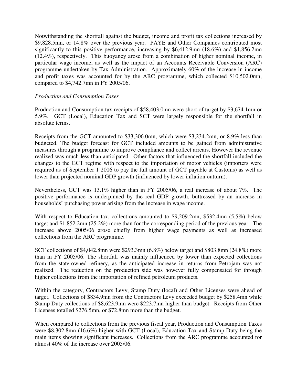Notwithstanding the shortfall against the budget, income and profit tax collections increased by \$9,828.5mn, or 14.8% over the previous year. PAYE and Other Companies contributed most significantly to this positive performance, increasing by \$6,412.9mn (18.6%) and \$1,856.2mn (12.4%), respectively. This buoyancy arose from a combination of higher nominal income, in particular wage income, as well as the impact of an Accounts Receivable Conversion (ARC) programme undertaken by Tax Administration. Approximately 60% of the increase in income and profit taxes was accounted for by the ARC programme, which collected \$10,502.0mn, compared to \$4,742.7mn in FY 2005/06.

#### *Production and Consumption Taxes*

Production and Consumption tax receipts of \$58,403.0mn were short of target by \$3,674.1mn or 5.9%. GCT (Local), Education Tax and SCT were largely responsible for the shortfall in absolute terms.

Receipts from the GCT amounted to \$33,306.0mn, which were \$3,234.2mn, or 8.9% less than budgeted. The budget forecast for GCT included amounts to be gained from administrative measures through a programme to improve compliance and collect arrears. However the revenue realized was much less than anticipated. Other factors that influenced the shortfall included the changes to the GCT regime with respect to the importation of motor vehicles (importers were required as of September 1 2006 to pay the full amount of GCT payable at Customs) as well as lower than projected nominal GDP growth (influenced by lower inflation outturn).

Nevertheless, GCT was 13.1% higher than in FY 2005/06, a real increase of about 7%. The positive performance is underpinned by the real GDP growth, buttressed by an increase in households' purchasing power arising from the increase in wage income.

With respect to Education tax, collections amounted to \$9,209.2mn, \$532.4mn (5.5%) below target and \$1,852.2mn (25.2%) more than for the corresponding period of the previous year. The increase above 2005/06 arose chiefly from higher wage payments as well as increased collections from the ARC programme.

SCT collections of \$4,042.8mn were \$293.3mn (6.8%) below target and \$803.8mn (24.8%) more than in FY 2005/06. The shortfall was mainly influenced by lower than expected collections from the state-owned refinery, as the anticipated increase in returns from Petrojam was not realized. The reduction on the production side was however fully compensated for through higher collections from the importation of refined petroleum products.

Within the category, Contractors Levy, Stamp Duty (local) and Other Licenses were ahead of target. Collections of \$834.9mn from the Contractors Levy exceeded budget by \$258.4mn while Stamp Duty collections of \$8,623.9mn were \$223.7mn higher than budget. Receipts from Other Licenses totalled \$276.5mn, or \$72.8mn more than the budget.

When compared to collections from the previous fiscal year, Production and Consumption Taxes were \$8,302.8mn (16.6%) higher with GCT (Local), Education Tax and Stamp Duty being the main items showing significant increases. Collections from the ARC programme accounted for almost 40% of the increase over 2005/06.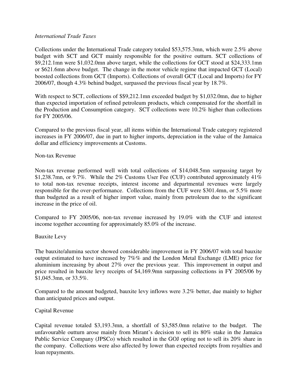#### *International Trade Taxes*

Collections under the International Trade category totaled \$53,575.3mn, which were 2.5% above budget with SCT and GCT mainly responsible for the positive outturn. SCT collections of \$9,212.1mn were \$1,032.0mn above target, while the collections for GCT stood at \$24,333.1mn or \$621.6mn above budget. The change in the motor vehicle regime that impacted GCT (Local) boosted collections from GCT (Imports). Collections of overall GCT (Local and Imports) for FY 2006/07, though 4.3% behind budget, surpassed the previous fiscal year by 18.7%.

With respect to SCT, collections of \$\$9,212.1mn exceeded budget by \$1,032.0mn, due to higher than expected importation of refined petroleum products, which compensated for the shortfall in the Production and Consumption category. SCT collections were 10.2% higher than collections for FY 2005/06.

Compared to the previous fiscal year, all items within the International Trade category registered increases in FY 2006/07, due in part to higher imports, depreciation in the value of the Jamaica dollar and efficiency improvements at Customs.

#### Non-tax Revenue

Non-tax revenue performed well with total collections of \$14,048.5mn surpassing target by \$1,238.7mn, or 9.7%. While the 2% Customs User Fee (CUF) contributed approximately 41% to total non-tax revenue receipts, interest income and departmental revenues were largely responsible for the over-performance. Collections from the CUF were \$301.4mn, or 5.5% more than budgeted as a result of higher import value, mainly from petroleum due to the significant increase in the price of oil.

Compared to FY 2005/06, non-tax revenue increased by 19.0% with the CUF and interest income together accounting for approximately 85.0% of the increase.

#### Bauxite Levy

The bauxite/alumina sector showed considerable improvement in FY 2006/07 with total bauxite output estimated to have increased by 7%% and the London Metal Exchange (LME) price for aluminium increasing by about 27% over the previous year. This improvement in output and price resulted in bauxite levy receipts of \$4,169.9mn surpassing collections in FY 2005/06 by \$1,045.3mn, or 33.5%.

Compared to the amount budgeted, bauxite levy inflows were 3.2% better, due mainly to higher than anticipated prices and output.

#### Capital Revenue

Capital revenue totaled \$3,193.3mn, a shortfall of \$3,585.0mn relative to the budget. The unfavourable outturn arose mainly from Mirant's decision to sell its 80% stake in the Jamaica Public Service Company (JPSCo) which resulted in the GOJ opting not to sell its 20% share in the company. Collections were also affected by lower than expected receipts from royalties and loan repayments.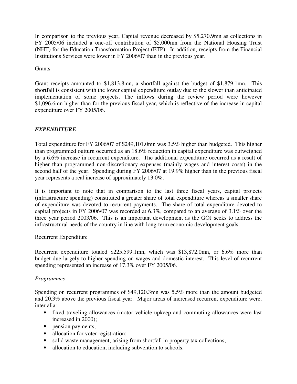In comparison to the previous year, Capital revenue decreased by \$5,270.9mn as collections in FY 2005/06 included a one-off contribution of \$5,000mn from the National Housing Trust (NHT) for the Education Transformation Project (ETP). In addition, receipts from the Financial Institutions Services were lower in FY 2006/07 than in the previous year.

**Grants** 

Grant receipts amounted to \$1,813.8mn, a shortfall against the budget of \$1,879.1mn. This shortfall is consistent with the lower capital expenditure outlay due to the slower than anticipated implementation of some projects. The inflows during the review period were however \$1,096.6mn higher than for the previous fiscal year, which is reflective of the increase in capital expenditure over FY 2005/06.

# *EXPENDITURE*

Total expenditure for FY 2006/07 of \$249,101.0mn was 3.5% higher than budgeted. This higher than programmed outturn occurred as an 18.6% reduction in capital expenditure was outweighed by a 6.6% increase in recurrent expenditure. The additional expenditure occurred as a result of higher than programmed non-discretionary expenses (mainly wages and interest costs) in the second half of the year. Spending during FY 2006/07 at 19.9% higher than in the previous fiscal year represents a real increase of approximately 13.0%.

It is important to note that in comparison to the last three fiscal years, capital projects (infrastructure spending) constituted a greater share of total expenditure whereas a smaller share of expenditure was devoted to recurrent payments. The share of total expenditure devoted to capital projects in FY 2006/07 was recorded at 6.3%, compared to an average of 3.1% over the three year period 2003/06. This is an important development as the GOJ seeks to address the infrastructural needs of the country in line with long-term economic development goals.

#### Recurrent Expenditure

Recurrent expenditure totaled \$225,599.1mn, which was \$13,872.0mn, or 6.6% more than budget due largely to higher spending on wages and domestic interest. This level of recurrent spending represented an increase of 17.3% over FY 2005/06.

#### *Programmes*

Spending on recurrent programmes of \$49,120.3mn was 5.5% more than the amount budgeted and 20.3% above the previous fiscal year. Major areas of increased recurrent expenditure were, inter alia:

- fixed traveling allowances (motor vehicle upkeep and commuting allowances were last increased in 2000);
- pension payments;
- allocation for voter registration;
- solid waste management, arising from shortfall in property tax collections;
- allocation to education, including subvention to schools.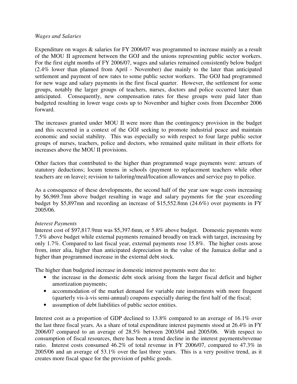#### *Wages and Salaries*

Expenditure on wages & salaries for FY 2006/07 was programmed to increase mainly as a result of the MOU II agreement between the GOJ and the unions representing public sector workers. For the first eight months of FY 2006/07, wages and salaries remained consistently below budget (2.4% lower than planned from April - November) due mainly to the later than anticipated settlement and payment of new rates to some public sector workers. The GOJ had programmed for new wage and salary payments in the first fiscal quarter. However, the settlement for some groups, notably the larger groups of teachers, nurses, doctors and police occurred later than anticipated. Consequently, new compensation rates for these groups were paid later than budgeted resulting in lower wage costs up to November and higher costs from December 2006 forward.

The increases granted under MOU II were more than the contingency provision in the budget and this occurred in a context of the GOJ seeking to promote industrial peace and maintain economic and social stability. This was especially so with respect to four large public sector groups of nurses, teachers, police and doctors, who remained quite militant in their efforts for increases above the MOU II provisions.

Other factors that contributed to the higher than programmed wage payments were: arrears of statutory deductions; locum tenens in schools (payment to replacement teachers while other teachers are on leave); revision to tailoring/meal/location allowances and service pay to police.

As a consequence of these developments, the second half of the year saw wage costs increasing by \$6,969.7mn above budget resulting in wage and salary payments for the year exceeding budget by \$5,897mn and recording an increase of \$15,552.8mn (24.6%) over payments in FY 2005/06.

#### *Interest Payments*

Interest cost of \$97,817.9mn was \$5,397.6mn, or 5.8% above budget. Domestic payments were 7.5% above budget while external payments remained broadly on track with target, increasing by only 1.7%. Compared to last fiscal year, external payments rose 15.8%. The higher costs arose from, inter alia, higher than anticipated depreciation in the value of the Jamaica dollar and a higher than programmed increase in the external debt stock.

The higher than budgeted increase in domestic interest payments were due to:

- the increase in the domestic debt stock arising from the larger fiscal deficit and higher amortization payments;
- accommodation of the market demand for variable rate instruments with more frequent (quarterly vis-à-vis semi-annual) coupons especially during the first half of the fiscal;
- assumption of debt liabilities of public sector entities.

Interest cost as a proportion of GDP declined to 13.8% compared to an average of 16.1% over the last three fiscal years. As a share of total expenditure interest payments stood at 26.4% in FY 2006/07 compared to an average of 28.5% between 2003/04 and 2005/06. With respect to consumption of fiscal resources, there has been a trend decline in the interest payments/revenue ratio. Interest costs consumed 46.2% of total revenue in FY 2006/07, compared to 47.3% in 2005/06 and an average of 53.1% over the last three years. This is a very positive trend, as it creates more fiscal space for the provision of public goods.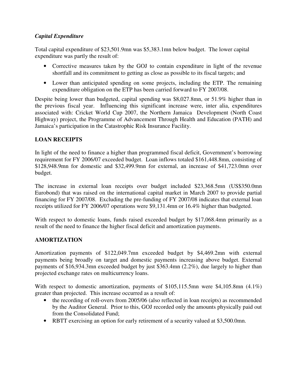### *Capital Expenditure*

Total capital expenditure of \$23,501.9mn was \$5,383.1mn below budget. The lower capital expenditure was partly the result of:

- Corrective measures taken by the GOJ to contain expenditure in light of the revenue shortfall and its commitment to getting as close as possible to its fiscal targets; and
- Lower than anticipated spending on some projects, including the ETP. The remaining expenditure obligation on the ETP has been carried forward to FY 2007/08.

Despite being lower than budgeted, capital spending was \$8,027.8mn, or 51.9% higher than in the previous fiscal year. Influencing this significant increase were, inter alia, expenditures associated with: Cricket World Cup 2007, the Northern Jamaica Development (North Coast Highway) project, the Programme of Advancement Through Health and Education (PATH) and Jamaica's participation in the Catastrophic Risk Insurance Facility.

# **LOAN RECEIPTS**

In light of the need to finance a higher than programmed fiscal deficit, Government's borrowing requirement for FY 2006/07 exceeded budget. Loan inflows totaled \$161,448.8mn, consisting of \$128,948.9mn for domestic and \$32,499.9mn for external, an increase of \$41,723.0mn over budget.

The increase in external loan receipts over budget included \$23,368.5mn (US\$350.0mn Eurobond) that was raised on the international capital market in March 2007 to provide partial financing for FY 2007/08. Excluding the pre-funding of FY 2007/08 indicates that external loan receipts utilized for FY 2006/07 operations were \$9,131.4mn or 16.4% higher than budgeted.

With respect to domestic loans, funds raised exceeded budget by \$17,068.4mn primarily as a result of the need to finance the higher fiscal deficit and amortization payments.

#### **AMORTIZATION**

Amortization payments of \$122,049.7mn exceeded budget by \$4,469.2mn with external payments being broadly on target and domestic payments increasing above budget. External payments of \$16,934.3mn exceeded budget by just \$363.4mn (2.2%), due largely to higher than projected exchange rates on multicurrency loans.

With respect to domestic amortization, payments of \$105,115.5mn were \$4,105.8mn (4.1%) greater than projected. This increase occurred as a result of:

- the recording of roll-overs from 2005/06 (also reflected in loan receipts) as recommended by the Auditor General. Prior to this, GOJ recorded only the amounts physically paid out from the Consolidated Fund;
- RBTT exercising an option for early retirement of a security valued at \$3,500.0mn.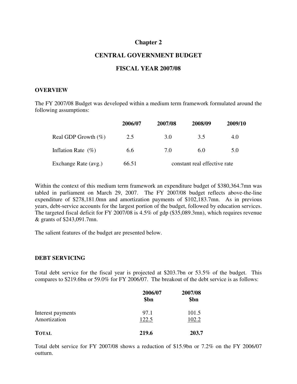# **Chapter 2**

#### **CENTRAL GOVERNMENT BUDGET**

#### **FISCAL YEAR 2007/08**

#### **OVERVIEW**

The FY 2007/08 Budget was developed within a medium term framework formulated around the following assumptions:

|                        | 2006/07 | 2007/08                      | 2008/09 | 2009/10 |
|------------------------|---------|------------------------------|---------|---------|
| Real GDP Growth $(\%)$ | 2.5     | 3.O                          | 3.5     | 4.0     |
| Inflation Rate $(\% )$ | 6.6     | 7.0                          | 6.0     | 5.0     |
| Exchange Rate (avg.)   | 66.51   | constant real effective rate |         |         |

Within the context of this medium term framework an expenditure budget of \$380,364.7mn was tabled in parliament on March 29, 2007. The FY 2007/08 budget reflects above-the-line expenditure of \$278,181.0mn and amortization payments of \$102,183.7mn. As in previous years, debt-service accounts for the largest portion of the budget, followed by education services. The targeted fiscal deficit for FY 2007/08 is 4.5% of gdp (\$35,089.3mn), which requires revenue & grants of \$243,091.7mn.

The salient features of the budget are presented below.

#### **DEBT SERVICING**

Total debt service for the fiscal year is projected at \$203.7bn or 53.5% of the budget. This compares to \$219.6bn or 59.0% for FY 2006/07. The breakout of the debt service is as follows:

|                   | 2006/07<br>\$bn | 2007/08<br>\$bn<br>101.5 |  |
|-------------------|-----------------|--------------------------|--|
| Interest payments | 97.1            |                          |  |
| Amortization      | 122.5           | 102.2                    |  |
| <b>TOTAL</b>      | 219.6           | 203.7                    |  |

Total debt service for FY 2007/08 shows a reduction of \$15.9bn or 7.2% on the FY 2006/07 outturn.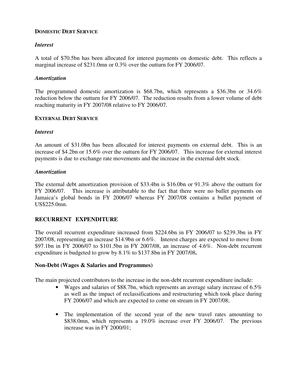#### **DOMESTIC DEBT SERVICE**

#### *Interest*

A total of \$70.5bn has been allocated for interest payments on domestic debt. This reflects a marginal increase of \$231.0mn or 0.3% over the outturn for FY 2006/07.

#### *Amortization*

The programmed domestic amortization is \$68.7bn, which represents a \$36.3bn or 34.6% reduction below the outturn for FY 2006/07. The reduction results from a lower volume of debt reaching maturity in FY 2007/08 relative to FY 2006/07.

#### **EXTERNAL DEBT SERVICE**

#### *Interest*

An amount of \$31.0bn has been allocated for interest payments on external debt. This is an increase of \$4.2bn or 15.6% over the outturn for FY 2006/07.This increase for external interest payments is due to exchange rate movements and the increase in the external debt stock.

#### *Amortization*

The external debt amortization provision of \$33.4bn is \$16.0bn or 91.3% above the outturn for FY 2006/07. This increase is attributable to the fact that there were no bullet payments on Jamaica's global bonds in FY 2006/07 whereas FY 2007/08 contains a bullet payment of US\$225.0mn.

#### **RECURRENT EXPENDITURE**

The overall recurrent expenditure increased from \$224.6bn in FY 2006/07 to \$239.3bn in FY 2007/08, representing an increase \$14.9bn or 6.6%. Interest charges are expected to move from \$97.1bn in FY 2006/07 to \$101.5bn in FY 2007/08, an increase of 4.6%. Non-debt recurrent expenditure is budgeted to grow by 8.1% to \$137.8bn in FY 2007/08**.**

#### **Non-Debt (Wages & Salaries and Programmes)**

The main projected contributors to the increase in the non-debt recurrent expenditure include:

- Wages and salaries of \$88.7bn, which represents an average salary increase of 6.5% as well as the impact of reclassifications and restructuring which took place during FY 2006/07 and which are expected to come on stream in FY 2007/08;
- The implementation of the second year of the new travel rates amounting to \$838.0mn, which represents a 19.0% increase over FY 2006/07. The previous increase was in FY 2000/01;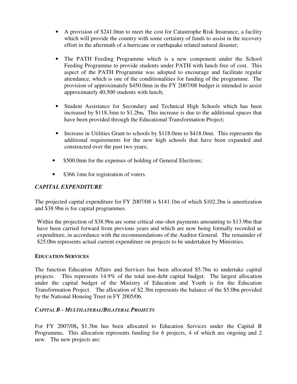- A provision of \$241.0mn to meet the cost for Catastrophe Risk Insurance, a facility which will provide the country with some certainty of funds to assist in the recovery effort in the aftermath of a hurricane or earthquake related natural disaster;
- The PATH Feeding Programme which is a new component under the School Feeding Programme to provide students under PATH with lunch free of cost. This aspect of the PATH Programme was adopted to encourage and facilitate regular attendance, which is one of the conditionalities for funding of the programme. The provision of approximately \$450.0mn in the FY 2007/08 budget is intended to assist approximately 40,500 students with lunch;
- Student Assistance for Secondary and Technical High Schools which has been increased by \$118.3mn to \$1.2bn**.** This increase is due to the additional spaces that have been provided through the Educational Transformation Project;
- Increase in Utilities Grant to schools by \$118.0mn to \$418.0mn. This represents the additional requirements for the new high schools that have been expanded and constructed over the past two years;
- \$500.0mn for the expenses of holding of General Elections;
- \$366.1mn for registration of voters.

# *CAPITAL EXPENDITURE*

The projected capital expenditure for FY 2007/08 is \$141.1bn of which \$102.2bn is amortization and \$38.9bn is for capital programmes.

Within the projection of \$38.9bn are some critical one-shot payments amounting to \$13.9bn that have been carried forward from previous years and which are now being formally recorded as expenditure, in accordance with the recommendations of the Auditor General. The remainder of \$25.0bn represents actual current expenditure on projects to be undertaken by Ministries.

#### **EDUCATION SERVICES**

The function Education Affairs and Services has been allocated \$5.7bn to undertake capital projects. This represents 14.9% of the total non-debt capital budget. The largest allocation under the capital budget of the Ministry of Education and Youth is for the Education Transformation Project. The allocation of \$2.3bn represents the balance of the \$5.0bn provided by the National Housing Trust in FY 2005/06.

#### *CAPITAL B - MULTILATERAL/BILATERAL PROJECTS*

For FY 2007/08**,** \$1.3bn has been allocated to Education Services under the Capital B Programme. This allocation represents funding for 6 projects, 4 of which are ongoing and 2 new. The new projects are: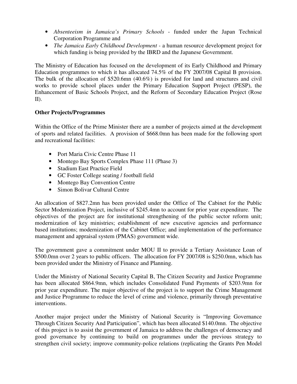- *Absenteeism in Jamaica's Primary Schools* funded under the Japan Technical Corporation Programme and
- *The Jamaica Early Childhood Development* a human resource development project for which funding is being provided by the IBRD and the Japanese Government.

The Ministry of Education has focused on the development of its Early Childhood and Primary Education programmes to which it has allocated 74.5% of the FY 2007/08 Capital B provision. The bulk of the allocation of \$520.6mn (40.6%) is provided for land and structures and civil works to provide school places under the Primary Education Support Project (PESP), the Enhancement of Basic Schools Project, and the Reform of Secondary Education Project (Rose II).

#### **Other Projects/Programmes**

Within the Office of the Prime Minister there are a number of projects aimed at the development of sports and related facilities. A provision of \$668.0mn has been made for the following sport and recreational facilities:

- Port Maria Civic Centre Phase 11
- Montego Bay Sports Complex Phase 111 (Phase 3)
- Stadium East Practice Field
- GC Foster College seating / football field
- Montego Bay Convention Centre
- Simon Bolivar Cultural Centre

An allocation of \$827.2mn has been provided under the Office of The Cabinet for the Public Sector Modernization Project, inclusive of \$245.4mn to account for prior year expenditure. The objectives of the project are for institutional strengthening of the public sector reform unit; modernization of key ministries; establishment of new executive agencies and performance based institutions; modernization of the Cabinet Office; and implementation of the performance management and appraisal system (PMAS) government wide.

The government gave a commitment under MOU II to provide a Tertiary Assistance Loan of \$500.0mn over 2 years to public officers. The allocation for FY 2007/08 is \$250.0mn, which has been provided under the Ministry of Finance and Planning.

Under the Ministry of National Security Capital B, The Citizen Security and Justice Programme has been allocated \$864.9mn, which includes Consolidated Fund Payments of \$203.9mn for prior year expenditure. The major objective of the project is to support the Crime Management and Justice Programme to reduce the level of crime and violence, primarily through preventative interventions.

Another major project under the Ministry of National Security is "Improving Governance Through Citizen Security And Participation", which has been allocated \$140.0mn. The objective of this project is to assist the government of Jamaica to address the challenges of democracy and good governance by continuing to build on programmes under the previous strategy to strengthen civil society; improve community-police relations (replicating the Grants Pen Model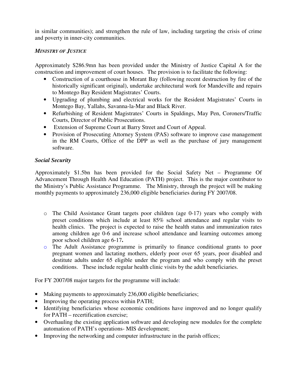in similar communities); and strengthen the rule of law, including targeting the crisis of crime and poverty in inner-city communities.

#### *MINISTRY OF JUSTICE*

Approximately \$286.9mn has been provided under the Ministry of Justice Capital A for the construction and improvement of court houses. The provision is to facilitate the following:

- Construction of a courthouse in Morant Bay (following recent destruction by fire of the historically significant original), undertake architectural work for Mandeville and repairs to Montego Bay Resident Magistrates' Courts.
- Upgrading of plumbing and electrical works for the Resident Magistrates' Courts in Montego Bay, Yallahs, Savanna-la-Mar and Black River.
- Refurbishing of Resident Magistrates' Courts in Spaldings, May Pen, Coroners/Traffic Courts, Director of Public Prosecutions.
- Extension of Supreme Court at Barry Street and Court of Appeal.
- Provision of Prosecuting Attorney System (PAS) software to improve case management in the RM Courts, Office of the DPP as well as the purchase of jury management software.

#### *Social Security*

Approximately \$1.5bn has been provided for the Social Safety Net – Programme Of Advancement Through Health And Education (PATH) project. This is the major contributor to the Ministry's Public Assistance Programme. The Ministry, through the project will be making monthly payments to approximately 236,000 eligible beneficiaries during FY 2007/08.

- o The Child Assistance Grant targets poor children (age 0-17) years who comply with preset conditions which include at least 85% school attendance and regular visits to health clinics. The project is expected to raise the health status and immunization rates among children age 0-6 and increase school attendance and learning outcomes among poor school children age 6-17**.**
- o The Adult Assistance programme is primarily to finance conditional grants to poor pregnant women and lactating mothers, elderly poor over 65 years, poor disabled and destitute adults under 65 eligible under the program and who comply with the preset conditions. These include regular health clinic visits by the adult beneficiaries.

For FY 2007/08 major targets for the programme will include:

- Making payments to approximately 236,000 eligible beneficiaries;
- Improving the operating process within PATH;
- Identifying beneficiaries whose economic conditions have improved and no longer qualify for PATH – recertification exercise;
- Overhauling the existing application software and developing new modules for the complete automation of PATH's operations- MIS development;
- Improving the networking and computer infrastructure in the parish offices;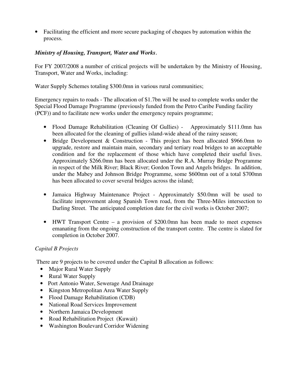• Facilitating the efficient and more secure packaging of cheques by automation within the process.

# *Ministry of Housing, Transport, Water and Works*.

For FY 2007/2008 a number of critical projects will be undertaken by the Ministry of Housing, Transport, Water and Works, including:

Water Supply Schemes totaling \$300.0mn in various rural communities;

Emergency repairs to roads - The allocation of \$1.7bn will be used to complete works under the Special Flood Damage Programme (previously funded from the Petro Caribe Funding facility (PCF)) and to facilitate new works under the emergency repairs programme;

- Flood Damage Rehabilitation (Cleaning Of Gullies) Approximately \$111.0mn has been allocated for the cleaning of gullies island-wide ahead of the rainy season;
- Bridge Development & Construction This project has been allocated \$966.0mn to upgrade, restore and maintain main, secondary and tertiary road bridges to an acceptable condition and for the replacement of those which have completed their useful lives. Approximately \$266.0mn has been allocated under the R.A. Murray Bridge Programme in respect of the Milk River; Black River; Gordon Town and Angels bridges. In addition, under the Mabey and Johnson Bridge Programme, some \$600mn out of a total \$700mn has been allocated to cover several bridges across the island;
- Jamaica Highway Maintenance Project Approximately \$50.0mn will be used to facilitate improvement along Spanish Town road, from the Three-Miles intersection to Darling Street. The anticipated completion date for the civil works is October 2007;
- HWT Transport Centre a provision of \$200.0mn has been made to meet expenses emanating from the ongoing construction of the transport centre. The centre is slated for completion in October 2007.

#### *Capital B Projects*

There are 9 projects to be covered under the Capital B allocation as follows:

- Major Rural Water Supply
- Rural Water Supply
- Port Antonio Water, Sewerage And Drainage
- Kingston Metropolitan Area Water Supply
- Flood Damage Rehabilitation (CDB)
- National Road Services Improvement
- Northern Jamaica Development
- Road Rehabilitation Project (Kuwait)
- Washington Boulevard Corridor Widening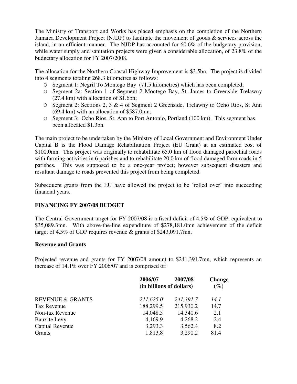The Ministry of Transport and Works has placed emphasis on the completion of the Northern Jamaica Development Project (NJDP) to facilitate the movement of goods & services across the island, in an efficient manner. The NJDP has accounted for 60.6% of the budgetary provision, while water supply and sanitation projects were given a considerable allocation, of 23.8% of the budgetary allocation for FY 2007/2008.

The allocation for the Northern Coastal Highway Improvement is \$3.5bn. The project is divided into 4 segments totaling 268.3 kilometres as follows:

- O Segment 1: Negril To Montego Bay (71.5 kilometres) which has been completed;
- O Segment 2a: Section 1 of Segment 2 Montego Bay, St. James to Greenside Trelawny (27.4 km) with allocation of \$1.6bn;
- O Segment 2: Sections 2, 3 & 4 of Segment 2 Greenside, Trelawny to Ocho Rios, St Ann (69.4 km) with an allocation of \$587.0mn;
- O Segment 3: Ocho Rios, St. Ann to Port Antonio, Portland (100 km). This segment has been allocated \$1.3bn.

The main project to be undertaken by the Ministry of Local Government and Environment Under Capital B is the Flood Damage Rehabilitation Project (EU Grant) at an estimated cost of \$100.0mn. This project was originally to rehabilitate 65.0 km of flood damaged parochial roads with farming activities in 6 parishes and to rehabilitate 20.0 km of flood damaged farm roads in 5 parishes. This was supposed to be a one-year project; however subsequent disasters and resultant damage to roads prevented this project from being completed.

Subsequent grants from the EU have allowed the project to be 'rolled over' into succeeding financial years.

#### **FINANCING FY 2007/08 BUDGET**

The Central Government target for FY 2007/08 is a fiscal deficit of 4.5% of GDP, equivalent to \$35,089.3mn. With above-the-line expenditure of \$278,181.0mn achievement of the deficit target of 4.5% of GDP requires revenue & grants of \$243,091.7mn.

#### **Revenue and Grants**

Projected revenue and grants for FY 2007/08 amount to \$241,391.7mn, which represents an increase of 14.1% over FY 2006/07 and is comprised of:

|                             | 2006/07                  | 2007/08   | <b>Change</b> |
|-----------------------------|--------------------------|-----------|---------------|
|                             | (in billions of dollars) |           |               |
| <b>REVENUE &amp; GRANTS</b> | 211,625.0                | 241,391.7 | 14.1          |
| Tax Revenue                 | 188,299.5                | 215,930.2 | 14.7          |
| Non-tax Revenue             | 14,048.5                 | 14,340.6  | 2.1           |
| <b>Bauxite Levy</b>         | 4,169.9                  | 4,268.2   | 2.4           |
| Capital Revenue             | 3,293.3                  | 3,562.4   | 8.2           |
| Grants                      | 1,813.8                  | 3,290.2   | 81.4          |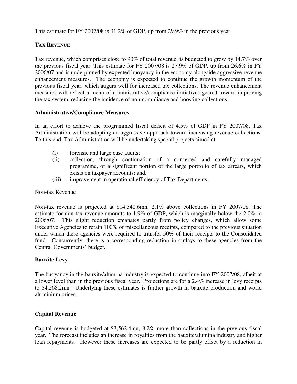This estimate for FY 2007/08 is 31.2% of GDP, up from 29.9% in the previous year.

# **TAX REVENUE**

Tax revenue, which comprises close to 90% of total revenue, is budgeted to grow by 14.7% over the previous fiscal year. This estimate for FY 2007/08 is 27.9% of GDP, up from 26.6% in FY 2006/07 and is underpinned by expected buoyancy in the economy alongside aggressive revenue enhancement measures. The economy is expected to continue the growth momentum of the previous fiscal year, which augurs well for increased tax collections. The revenue enhancement measures will reflect a menu of administrative/compliance initiatives geared toward improving the tax system, reducing the incidence of non-compliance and boosting collections.

#### **Administrative/Compliance Measures**

In an effort to achieve the programmed fiscal deficit of 4.5% of GDP in FY 2007/08, Tax Administration will be adopting an aggressive approach toward increasing revenue collections. To this end, Tax Administration will be undertaking special projects aimed at:

- (i) forensic and large case audits;
- (ii) collection, through continuation of a concerted and carefully managed programme, of a significant portion of the large portfolio of tax arrears, which exists on taxpayer accounts; and,
- (iii) improvement in operational efficiency of Tax Departments.

#### Non-tax Revenue

Non-tax revenue is projected at \$14,340.6mn, 2.1% above collections in FY 2007/08. The estimate for non-tax revenue amounts to 1.9% of GDP, which is marginally below the 2.0% in 2006/07. This slight reduction emanates partly from policy changes, which allow some Executive Agencies to retain 100% of miscellaneous receipts, compared to the previous situation under which these agencies were required to transfer 50% of their receipts to the Consolidated fund. Concurrently, there is a corresponding reduction in outlays to these agencies from the Central Governments' budget.

#### **Bauxite Levy**

The buoyancy in the bauxite/alumina industry is expected to continue into FY 2007/08, albeit at a lower level than in the previous fiscal year. Projections are for a 2.4% increase in levy receipts to \$4,268.2mn. Underlying these estimates is further growth in bauxite production and world aluminium prices.

#### **Capital Revenue**

Capital revenue is budgeted at \$3,562.4mn, 8.2% more than collections in the previous fiscal year. The forecast includes an increase in royalties from the bauxite/alumina industry and higher loan repayments. However these increases are expected to be partly offset by a reduction in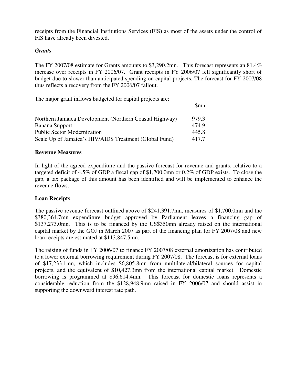receipts from the Financial Institutions Services (FIS) as most of the assets under the control of FIS have already been divested.

#### *Grants*

The FY 2007/08 estimate for Grants amounts to \$3,290.2mn. This forecast represents an 81.4% increase over receipts in FY 2006/07. Grant receipts in FY 2006/07 fell significantly short of budget due to slower than anticipated spending on capital projects. The forecast for FY 2007/08 thus reflects a recovery from the FY 2006/07 fallout.

The major grant inflows budgeted for capital projects are:

| Northern Jamaica Development (Northern Coastal Highway) | 979.3 |
|---------------------------------------------------------|-------|
| Banana Support                                          | 474.9 |
| <b>Public Sector Modernization</b>                      | 445.8 |
| Scale Up of Jamaica's HIV/AIDS Treatment (Global Fund)  | 417.7 |

**s** and the state of  $\sin \theta$  and  $\sin \theta$  and  $\sin \theta$  and  $\sin \theta$  and  $\sin \theta$  and  $\sin \theta$  and  $\sin \theta$  and  $\sin \theta$  and  $\sin \theta$  and  $\sin \theta$  and  $\sin \theta$  and  $\sin \theta$  and  $\sin \theta$  and  $\sin \theta$  and  $\sin \theta$  and  $\sin \theta$  and  $\sin \theta$  and  $\sin \theta$  and  $\sin$ 

#### **Revenue Measures**

In light of the agreed expenditure and the passive forecast for revenue and grants, relative to a targeted deficit of 4.5% of GDP a fiscal gap of \$1,700.0mn or 0.2% of GDP exists. To close the gap, a tax package of this amount has been identified and will be implemented to enhance the revenue flows.

#### **Loan Receipts**

The passive revenue forecast outlined above of \$241,391.7mn, measures of \$1,700.0mn and the \$380,364.7mn expenditure budget approved by Parliament leaves a financing gap of \$137,273.0mn. This is to be financed by the US\$350mn already raised on the international capital market by the GOJ in March 2007 as part of the financing plan for FY 2007/08 and new loan receipts are estimated at \$113,847.5mn.

The raising of funds in FY 2006/07 to finance FY 2007/08 external amortization has contributed to a lower external borrowing requirement during FY 2007/08. The forecast is for external loans of \$17,233.1mn, which includes \$6,805.8mn from multilateral/bilateral sources for capital projects, and the equivalent of \$10,427.3mn from the international capital market. Domestic borrowing is programmed at \$96,614.4mn. This forecast for domestic loans represents a considerable reduction from the \$128,948.9mn raised in FY 2006/07 and should assist in supporting the downward interest rate path.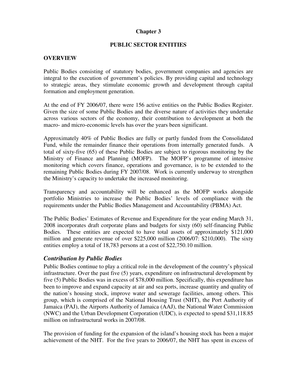#### **Chapter 3**

#### **PUBLIC SECTOR ENTITIES**

#### **OVERVIEW**

Public Bodies consisting of statutory bodies, government companies and agencies are integral to the execution of government's policies. By providing capital and technology to strategic areas, they stimulate economic growth and development through capital formation and employment generation.

At the end of FY 2006/07, there were 156 active entities on the Public Bodies Register. Given the size of some Public Bodies and the diverse nature of activities they undertake across various sectors of the economy, their contribution to development at both the macro- and micro-economic levels has over the years been significant.

Approximately 40% of Public Bodies are fully or partly funded from the Consolidated Fund, while the remainder finance their operations from internally generated funds. A total of sixty-five (65) of these Public Bodies are subject to rigorous monitoring by the Ministry of Finance and Planning (MOFP). The MOFP's programme of intensive monitoring which covers finance, operations and governance, is to be extended to the remaining Public Bodies during FY 2007/08. Work is currently underway to strengthen the Ministry's capacity to undertake the increased monitoring.

Transparency and accountability will be enhanced as the MOFP works alongside portfolio Ministries to increase the Public Bodies' levels of compliance with the requirements under the Public Bodies Management and Accountability (PBMA) Act.

The Public Bodies' Estimates of Revenue and Expenditure for the year ending March 31, 2008 incorporates draft corporate plans and budgets for sixty (60) self-financing Public Bodies. These entities are expected to have total assets of approximately \$121,000 million and generate revenue of over \$225,000 million (2006/07: \$210,000). The sixty entities employ a total of 18,783 persons at a cost of \$22,750.10 million.

#### *Contribution by Public Bodies*

Public Bodies continue to play a critical role in the development of the country's physical infrastructure. Over the past five (5) years, expenditure on infrastructural development by five (5) Public Bodies was in excess of \$78,000 million. Specifically, this expenditure has been to improve and expand capacity at air and sea ports, increase quantity and quality of the nation's housing stock, improve water and sewerage facilities, among others. This group, which is comprised of the National Housing Trust (NHT), the Port Authority of Jamaica (PAJ), the Airports Authority of Jamaica (AAJ), the National Water Commission (NWC) and the Urban Development Corporation (UDC), is expected to spend \$31,118.85 million on infrastructural works in 2007/08.

The provision of funding for the expansion of the island's housing stock has been a major achievement of the NHT. For the five years to 2006/07, the NHT has spent in excess of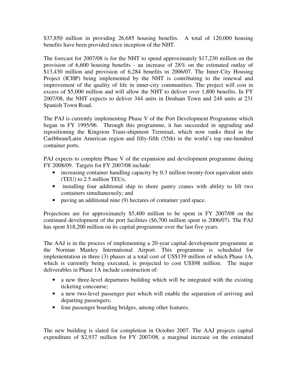\$37,850 million in providing 26,685 housing benefits. A total of 120,000 housing benefits have been provided since inception of the NHT.

The forecast for 2007/08 is for the NHT to spend approximately \$17,230 million on the provision of 6,600 housing benefits - an increase of 28% on the estimated outlay of \$13,430 million and provision of 6,284 benefits in 2006/07. The Inner-City Housing Project (ICHP) being implemented by the NHT is contributing to the renewal and improvement of the quality of life in inner-city communities. The project will cost in excess of \$5,000 million and will allow the NHT to deliver over 1,800 benefits. In FY 2007/08, the NHT expects to deliver 344 units in Denham Town and 248 units at 231 Spanish Town Road.

The PAJ is currently implementing Phase V of the Port Development Programme which began in FY 1995/96. Through this programme, it has succeeded in upgrading and repositioning the Kingston Trans-shipment Terminal, which now ranks third in the Caribbean/Latin American region and fifty-fifth (55th) in the world's top one-hundred container ports.

PAJ expects to complete Phase V of the expansion and development programme during FY 2008/09. Targets for FY 2007/08 include:

- increasing container handling capacity by 0.3 million twenty-foot equivalent units (TEU) to 2.5 million TEUs;
- installing four additional ship to shore gantry cranes with ability to lift two containers simultaneously; and
- paving an additional nine (9) hectares of container yard space.

Projections are for approximately \$5,400 million to be spent in FY 2007/08 on the continued development of the port facilities (\$6,700 million spent in 2006/07). The PAJ has spent \$18,200 million on its capital programme over the last five years.

The AAJ is in the process of implementing a 20-year capital development programme at the Norman Manley International Airport. This programme is scheduled for implementation in three (3) phases at a total cost of US\$139 million of which Phase 1A, which is currently being executed, is projected to cost US\$98 million. The major deliverables in Phase 1A include construction of:

- a new three-level departures building which will be integrated with the existing ticketing concourse;
- a new two-level passenger pier which will enable the separation of arriving and departing passengers;
- four passenger boarding bridges, among other features.

The new building is slated for completion in October 2007. The AAJ projects capital expenditure of \$2,937 million for FY 2007/08, a marginal increase on the estimated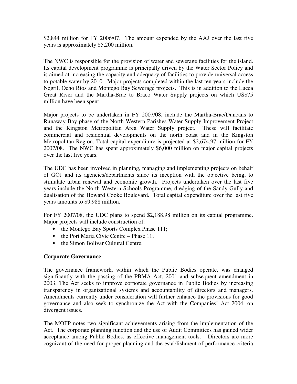\$2,844 million for FY 2006/07. The amount expended by the AAJ over the last five years is approximately \$5,200 million.

The NWC is responsible for the provision of water and sewerage facilities for the island. Its capital development programme is principally driven by the Water Sector Policy and is aimed at increasing the capacity and adequacy of facilities to provide universal access to potable water by 2010. Major projects completed within the last ten years include the Negril, Ocho Rios and Montego Bay Sewerage projects. This is in addition to the Lucea Great River and the Martha-Brae to Braco Water Supply projects on which US\$75 million have been spent.

Major projects to be undertaken in FY 2007/08, include the Martha-Brae/Duncans to Runaway Bay phase of the North Western Parishes Water Supply Improvement Project and the Kingston Metropolitan Area Water Supply project. These will facilitate commercial and residential developments on the north coast and in the Kingston Metropolitan Region. Total capital expenditure is projected at \$2,674.97 million for FY 2007/08. The NWC has spent approximately \$6,000 million on major capital projects over the last five years.

The UDC has been involved in planning, managing and implementing projects on behalf of GOJ and its agencies/departments since its inception with the objective being, to stimulate urban renewal and economic growth. Projects undertaken over the last five years include the North Western Schools Programme, dredging of the Sandy-Gully and dualisation of the Howard Cooke Boulevard. Total capital expenditure over the last five years amounts to \$9,988 million.

For FY 2007/08, the UDC plans to spend \$2,188.98 million on its capital programme. Major projects will include construction of:

- the Montego Bay Sports Complex Phase 111;
- the Port Maria Civic Centre Phase 11;
- the Simon Bolivar Cultural Centre.

#### **Corporate Governance**

The governance framework, within which the Public Bodies operate, was changed significantly with the passing of the PBMA Act, 2001 and subsequent amendment in 2003. The Act seeks to improve corporate governance in Public Bodies by increasing transparency in organizational systems and accountability of directors and managers. Amendments currently under consideration will further enhance the provisions for good governance and also seek to synchronize the Act with the Companies' Act 2004, on divergent issues.

The MOFP notes two significant achievements arising from the implementation of the Act. The corporate planning function and the use of Audit Committees has gained wider acceptance among Public Bodies, as effective management tools. Directors are more cognizant of the need for proper planning and the establishment of performance criteria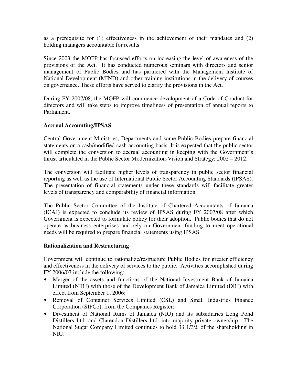as a prerequisite for (1) effectiveness in the achievement of their mandates and (2) holding managers accountable for results.

Since 2003 the MOFP has focussed efforts on increasing the level of awareness of the provisions of the Act. It has conducted numerous seminars with directors and senior management of Public Bodies and has partnered with the Management Institute of National Development (MIND) and other training institutions in the delivery of courses on governance. These efforts have served to clarify the provisions in the Act.

During FY 2007/08, the MOFP will commence development of a Code of Conduct for directors and will take steps to improve timeliness of presentation of annual reports to Parliament.

#### **Accrual Accounting/IPSAS**

Central Government Ministries, Departments and some Public Bodies prepare financial statements on a cash/modified cash accounting basis. It is expected that the public sector will complete the conversion to accrual accounting in keeping with the Government's thrust articulated in the Public Sector Modernization-Vision and Strategy: 2002 – 2012.

The conversion will facilitate higher levels of transparency in public sector financial reporting as well as the use of International Public Sector Accounting Standards (IPSAS). The presentation of financial statements under these standards will facilitate greater levels of transparency and comparability of financial information.

The Public Sector Committee of the Institute of Chartered Accountants of Jamaica (ICAJ) is expected to conclude its review of IPSAS during FY 2007/08 after which Government is expected to formulate policy for their adoption. Public bodies that do not operate as business enterprises and rely on Government funding to meet operational needs will be required to prepare financial statements using IPSAS.

#### **Rationalization and Restructuring**

Government will continue to rationalize/restructure Public Bodies for greater efficiency and effectiveness in the delivery of services to the public. Activities accomplished during FY 2006/07 include the following:

- Merger of the assets and functions of the National Investment Bank of Jamaica Limited (NIBJ) with those of the Development Bank of Jamaica Limited (DBJ) with effect from September 1, 2006;
- Removal of Container Services Limited (CSL) and Small Industries Finance Corporation (SIFCo), from the Companies Register;
- Divestment of National Rums of Jamaica (NRJ) and its subsidiaries Long Pond Distillers Ltd. and Clarendon Distillers Ltd. into majority private ownership. The National Sugar Company Limited continues to hold 33 1/3% of the shareholding in NRJ.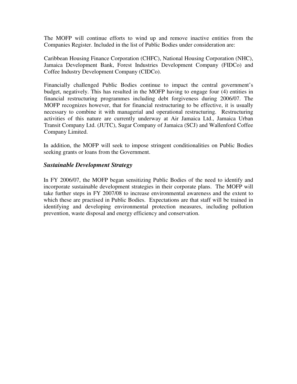The MOFP will continue efforts to wind up and remove inactive entities from the Companies Register. Included in the list of Public Bodies under consideration are:

Caribbean Housing Finance Corporation (CHFC), National Housing Corporation (NHC), Jamaica Development Bank, Forest Industries Development Company (FIDCo) and Coffee Industry Development Company (CIDCo).

Financially challenged Public Bodies continue to impact the central government's budget, negatively. This has resulted in the MOFP having to engage four (4) entities in financial restructuring programmes including debt forgiveness during 2006/07. The MOFP recognizes however, that for financial restructuring to be effective, it is usually necessary to combine it with managerial and operational restructuring. Restructuring activities of this nature are currently underway at Air Jamaica Ltd., Jamaica Urban Transit Company Ltd. (JUTC), Sugar Company of Jamaica (SCJ) and Wallenford Coffee Company Limited.

In addition, the MOFP will seek to impose stringent conditionalities on Public Bodies seeking grants or loans from the Government.

#### *Sustainable Development Strategy*

In FY 2006/07, the MOFP began sensitizing Public Bodies of the need to identify and incorporate sustainable development strategies in their corporate plans. The MOFP will take further steps in FY 2007/08 to increase environmental awareness and the extent to which these are practised in Public Bodies. Expectations are that staff will be trained in identifying and developing environmental protection measures, including pollution prevention, waste disposal and energy efficiency and conservation.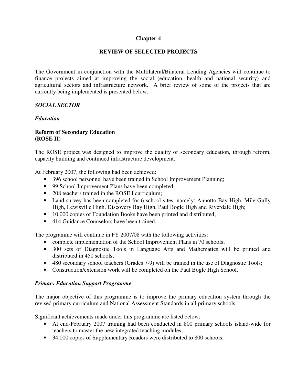#### **Chapter 4**

#### **REVIEW OF SELECTED PROJECTS**

The Government in conjunction with the Multilateral/Bilateral Lending Agencies will continue to finance projects aimed at improving the social (education, health and national security) and agricultural sectors and infrastructure network. A brief review of some of the projects that are currently being implemented is presented below.

#### *SOCIAL SECTOR*

#### *Education*

#### **Reform of Secondary Education (ROSE II)**

The ROSE project was designed to improve the quality of secondary education, through reform, capacity building and continued infrastructure development.

At February 2007, the following had been achieved:

- 396 school personnel have been trained in School Improvement Planning;
- 99 School Improvement Plans have been completed;
- 208 teachers trained in the ROSE I curriculum:
- Land survey has been completed for 6 school sites, namely: Annotto Bay High, Mile Gully High, Lewisville High, Discovery Bay High, Paul Bogle High and Riverdale High;
- 10,000 copies of Foundation Books have been printed and distributed;
- 414 Guidance Counselors have been trained.

The programme will continue in FY 2007/08 with the following activities:

- complete implementation of the School Improvement Plans in 70 schools;
- 300 sets of Diagnostic Tools in Language Arts and Mathematics will be printed and distributed in 450 schools;
- 480 secondary school teachers (Grades 7-9) will be trained in the use of Diagnostic Tools;
- Construction/extension work will be completed on the Paul Bogle High School.

#### *Primary Education Support Programme*

The major objective of this programme is to improve the primary education system through the revised primary curriculum and National Assessment Standards in all primary schools.

Significant achievements made under this programme are listed below:

- At end-February 2007 training had been conducted in 800 primary schools island-wide for teachers to master the new integrated teaching modules;
- 34,000 copies of Supplementary Readers were distributed to 800 schools;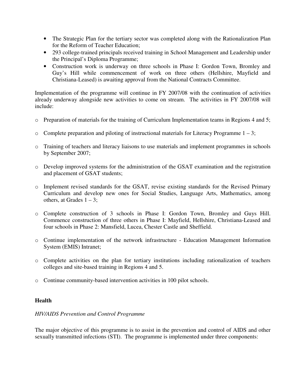- The Strategic Plan for the tertiary sector was completed along with the Rationalization Plan for the Reform of Teacher Education;
- 293 college-trained principals received training in School Management and Leadership under the Principal's Diploma Programme;
- Construction work is underway on three schools in Phase I: Gordon Town, Bromley and Guy's Hill while commencement of work on three others (Hellshire, Mayfield and Christiana-Leased) is awaiting approval from the National Contracts Committee.

Implementation of the programme will continue in FY 2007/08 with the continuation of activities already underway alongside new activities to come on stream. The activities in FY 2007/08 will include:

- o Preparation of materials for the training of Curriculum Implementation teams in Regions 4 and 5;
- $\circ$  Complete preparation and piloting of instructional materials for Literacy Programme 1 3;
- o Training of teachers and literacy liaisons to use materials and implement programmes in schools by September 2007;
- o Develop improved systems for the administration of the GSAT examination and the registration and placement of GSAT students;
- o Implement revised standards for the GSAT, revise existing standards for the Revised Primary Curriculum and develop new ones for Social Studies, Language Arts, Mathematics, among others, at Grades  $1 - 3$ ;
- o Complete construction of 3 schools in Phase I: Gordon Town, Bromley and Guys Hill. Commence construction of three others in Phase I: Mayfield, Hellshire, Christiana-Leased and four schools in Phase 2: Mansfield, Lucea, Chester Castle and Sheffield.
- o Continue implementation of the network infrastructure Education Management Information System (EMIS) Intranet;
- o Complete activities on the plan for tertiary institutions including rationalization of teachers colleges and site-based training in Regions 4 and 5.
- o Continue community-based intervention activities in 100 pilot schools.

#### **Health**

#### *HIV/AIDS Prevention and Control Programme*

The major objective of this programme is to assist in the prevention and control of AIDS and other sexually transmitted infections (STI). The programme is implemented under three components: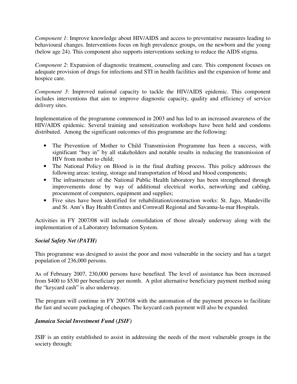*Component 1*: Improve knowledge about HIV/AIDS and access to preventative measures leading to behavioural changes. Interventions focus on high prevalence groups, on the newborn and the young (below age 24). This component also supports interventions seeking to reduce the AIDS stigma.

*Component 2*: Expansion of diagnostic treatment, counseling and care. This component focuses on adequate provision of drugs for infections and STI in health facilities and the expansion of home and hospice care.

*Component 3*: Improved national capacity to tackle the HIV/AIDS epidemic. This component includes interventions that aim to improve diagnostic capacity, quality and efficiency of service delivery sites.

Implementation of the programme commenced in 2003 and has led to an increased awareness of the HIV/AIDS epidemic. Several training and sensitization workshops have been held and condoms distributed. Among the significant outcomes of this programme are the following:

- The Prevention of Mother to Child Transmission Programme has been a success, with significant "buy in" by all stakeholders and notable results in reducing the transmission of HIV from mother to child;
- The National Policy on Blood is in the final drafting process. This policy addresses the following areas: testing, storage and transportation of blood and blood components;
- The infrastructure of the National Public Health laboratory has been strengthened through improvements done by way of additional electrical works, networking and cabling, procurement of computers, equipment and supplies;
- Five sites have been identified for rehabilitation/construction works: St. Jago, Mandeville and St. Ann's Bay Health Centres and Cornwall Regional and Savanna-la-mar Hospitals.

Activities in FY 2007/08 will include consolidation of those already underway along with the implementation of a Laboratory Information System.

#### *Social Safety Net (PATH)*

This programme was designed to assist the poor and most vulnerable in the society and has a target population of 236,000 persons.

As of February 2007, 230,000 persons have benefited. The level of assistance has been increased from \$400 to \$530 per beneficiary per month. A pilot alternative beneficiary payment method using the "keycard cash" is also underway.

The program will continue in FY 2007/08 with the automation of the payment process to facilitate the fast and secure packaging of cheques. The keycard cash payment will also be expanded.

#### *Jamaica Social Investment Fund (JSIF)*

JSIF is an entity established to assist in addressing the needs of the most vulnerable groups in the society through: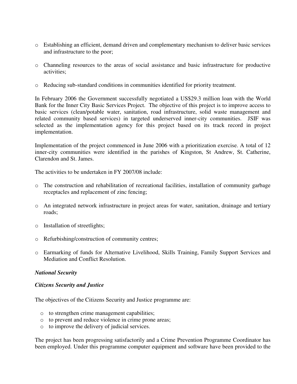- o Establishing an efficient, demand driven and complementary mechanism to deliver basic services and infrastructure to the poor;
- o Channeling resources to the areas of social assistance and basic infrastructure for productive activities;
- o Reducing sub-standard conditions in communities identified for priority treatment.

In February 2006 the Government successfully negotiated a US\$29.3 million loan with the World Bank for the Inner City Basic Services Project. The objective of this project is to improve access to basic services (clean/potable water, sanitation, road infrastructure, solid waste management and related community based services) in targeted underserved inner-city communities. JSIF was selected as the implementation agency for this project based on its track record in project implementation.

Implementation of the project commenced in June 2006 with a prioritization exercise. A total of 12 inner-city communities were identified in the parishes of Kingston, St Andrew, St. Catherine, Clarendon and St. James.

The activities to be undertaken in FY 2007/08 include:

- o The construction and rehabilitation of recreational facilities, installation of community garbage receptacles and replacement of zinc fencing;
- o An integrated network infrastructure in project areas for water, sanitation, drainage and tertiary roads;
- o Installation of streetlights;
- o Refurbishing/construction of community centres;
- o Earmarking of funds for Alternative Livelihood, Skills Training, Family Support Services and Mediation and Conflict Resolution.

#### *National Security*

#### *Citizens Security and Justice*

The objectives of the Citizens Security and Justice programme are:

- o to strengthen crime management capabilities;
- o to prevent and reduce violence in crime prone areas;
- o to improve the delivery of judicial services.

The project has been progressing satisfactorily and a Crime Prevention Programme Coordinator has been employed. Under this programme computer equipment and software have been provided to the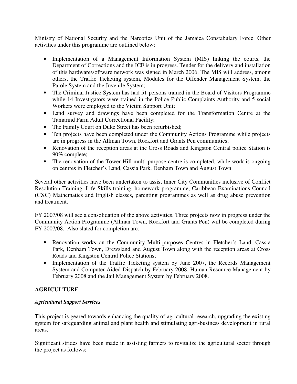Ministry of National Security and the Narcotics Unit of the Jamaica Constabulary Force. Other activities under this programme are outlined below:

- Implementation of a Management Information System (MIS) linking the courts, the Department of Corrections and the JCF is in progress. Tender for the delivery and installation of this hardware/software network was signed in March 2006. The MIS will address, among others, the Traffic Ticketing system, Modules for the Offender Management System, the Parole System and the Juvenile System;
- The Criminal Justice System has had 51 persons trained in the Board of Visitors Programme while 14 Investigators were trained in the Police Public Complaints Authority and 5 social Workers were employed to the Victim Support Unit;
- Land survey and drawings have been completed for the Transformation Centre at the Tamarind Farm Adult Correctional Facility;
- The Family Court on Duke Street has been refurbished;
- Ten projects have been completed under the Community Actions Programme while projects are in progress in the Allman Town, Rockfort and Grants Pen communities;
- Renovation of the reception areas at the Cross Roads and Kingston Central police Station is 90% complete;
- The renovation of the Tower Hill multi-purpose centre is completed, while work is ongoing on centres in Fletcher's Land, Cassia Park, Denham Town and August Town.

Several other activities have been undertaken to assist Inner City Communities inclusive of Conflict Resolution Training, Life Skills training, homework programme, Caribbean Examinations Council (CXC) Mathematics and English classes, parenting programmes as well as drug abuse prevention and treatment.

FY 2007/08 will see a consolidation of the above activities. Three projects now in progress under the Community Action Programme (Allman Town, Rockfort and Grants Pen) will be completed during FY 2007/08. Also slated for completion are:

- Renovation works on the Community Multi-purposes Centres in Fletcher's Land, Cassia Park, Denham Town, Drewsland and August Town along with the reception areas at Cross Roads and Kingston Central Police Stations;
- Implementation of the Traffic Ticketing system by June 2007, the Records Management System and Computer Aided Dispatch by February 2008, Human Resource Management by February 2008 and the Jail Management System by February 2008.

# **AGRICULTURE**

#### *Agricultural Support Services*

This project is geared towards enhancing the quality of agricultural research, upgrading the existing system for safeguarding animal and plant health and stimulating agri-business development in rural areas.

Significant strides have been made in assisting farmers to revitalize the agricultural sector through the project as follows: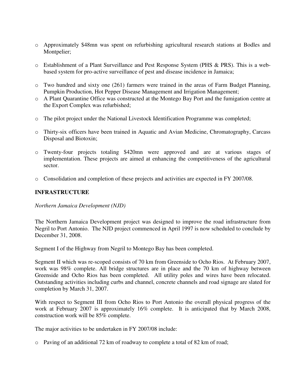- o Approximately \$48mn was spent on refurbishing agricultural research stations at Bodles and Montpelier;
- o Establishment of a Plant Surveillance and Pest Response System (PHS & PRS). This is a webbased system for pro-active surveillance of pest and disease incidence in Jamaica;
- o Two hundred and sixty one (261) farmers were trained in the areas of Farm Budget Planning, Pumpkin Production, Hot Pepper Disease Management and Irrigation Management;
- o A Plant Quarantine Office was constructed at the Montego Bay Port and the fumigation centre at the Export Complex was refurbished;
- o The pilot project under the National Livestock Identification Programme was completed;
- o Thirty-six officers have been trained in Aquatic and Avian Medicine, Chromatography, Carcass Disposal and Biotoxin;
- o Twenty-four projects totaling \$420mn were approved and are at various stages of implementation. These projects are aimed at enhancing the competitiveness of the agricultural sector.
- o Consolidation and completion of these projects and activities are expected in FY 2007/08.

# **INFRASTRUCTURE**

#### *Northern Jamaica Development (NJD)*

The Northern Jamaica Development project was designed to improve the road infrastructure from Negril to Port Antonio. The NJD project commenced in April 1997 is now scheduled to conclude by December 31, 2008.

Segment I of the Highway from Negril to Montego Bay has been completed.

Segment II which was re-scoped consists of 70 km from Greenside to Ocho Rios. At February 2007, work was 98% complete. All bridge structures are in place and the 70 km of highway between Greenside and Ocho Rios has been completed. All utility poles and wires have been relocated. Outstanding activities including curbs and channel, concrete channels and road signage are slated for completion by March 31, 2007.

With respect to Segment III from Ocho Rios to Port Antonio the overall physical progress of the work at February 2007 is approximately 16% complete. It is anticipated that by March 2008, construction work will be 85% complete.

The major activities to be undertaken in FY 2007/08 include:

 $\circ$  Paving of an additional 72 km of roadway to complete a total of 82 km of road;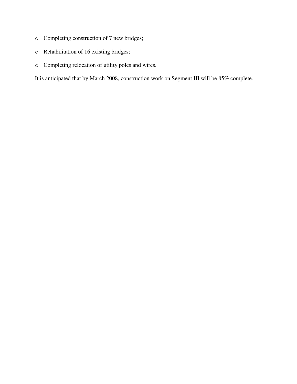- o Completing construction of 7 new bridges;
- o Rehabilitation of 16 existing bridges;
- o Completing relocation of utility poles and wires.

It is anticipated that by March 2008, construction work on Segment III will be 85% complete.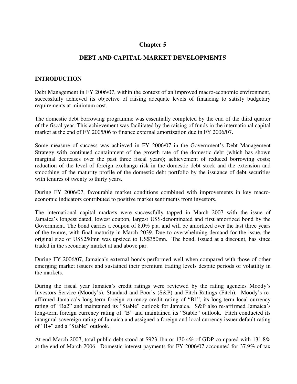# **Chapter 5**

# **DEBT AND CAPITAL MARKET DEVELOPMENTS**

## **INTRODUCTION**

Debt Management in FY 2006/07, within the context of an improved macro-economic environment, successfully achieved its objective of raising adequate levels of financing to satisfy budgetary requirements at minimum cost.

The domestic debt borrowing programme was essentially completed by the end of the third quarter of the fiscal year. This achievement was facilitated by the raising of funds in the international capital market at the end of FY 2005/06 to finance external amortization due in FY 2006/07.

Some measure of success was achieved in FY 2006/07 in the Government's Debt Management Strategy with continued containment of the growth rate of the domestic debt (which has shown marginal decreases over the past three fiscal years); achievement of reduced borrowing costs; reduction of the level of foreign exchange risk in the domestic debt stock and the extension and smoothing of the maturity profile of the domestic debt portfolio by the issuance of debt securities with tenures of twenty to thirty years.

During FY 2006/07, favourable market conditions combined with improvements in key macroeconomic indicators contributed to positive market sentiments from investors.

The international capital markets were successfully tapped in March 2007 with the issue of Jamaica's longest dated, lowest coupon, largest US\$-denominated and first amortized bond by the Government. The bond carries a coupon of 8.0% p.a. and will be amortized over the last three years of the tenure, with final maturity in March 2039. Due to overwhelming demand for the issue, the original size of US\$250mn was upsized to US\$350mn. The bond, issued at a discount, has since traded in the secondary market at and above par.

During FY 2006/07, Jamaica's external bonds performed well when compared with those of other emerging market issuers and sustained their premium trading levels despite periods of volatility in the markets.

During the fiscal year Jamaica's credit ratings were reviewed by the rating agencies Moody's Investors Service (Moody's), Standard and Poor's (S&P) and Fitch Ratings (Fitch). Moody's reaffirmed Jamaica's long-term foreign currency credit rating of "B1", its long-term local currency rating of "Ba2" and maintained its "Stable" outlook for Jamaica. S&P also re-affirmed Jamaica's long-term foreign currency rating of "B" and maintained its "Stable" outlook. Fitch conducted its inaugural sovereign rating of Jamaica and assigned a foreign and local currency issuer default rating of "B+" and a "Stable" outlook.

At end-March 2007, total public debt stood at \$923.1bn or 130.4% of GDP compared with 131.8% at the end of March 2006. Domestic interest payments for FY 2006/07 accounted for 37.9% of tax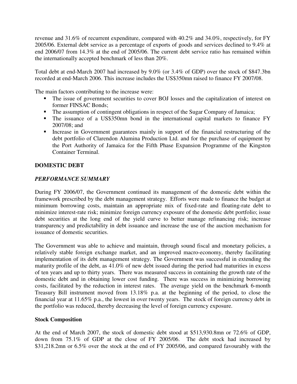revenue and 31.6% of recurrent expenditure, compared with 40.2% and 34.0%, respectively, for FY 2005/06. External debt service as a percentage of exports of goods and services declined to 9.4% at end 2006/07 from 14.3% at the end of 2005/06. The current debt service ratio has remained within the internationally accepted benchmark of less than 20%.

Total debt at end-March 2007 had increased by 9.0% (or 3.4% of GDP) over the stock of \$847.3bn recorded at end-March 2006. This increase includes the US\$350mn raised to finance FY 2007/08.

The main factors contributing to the increase were:

- The issue of government securities to cover BOJ losses and the capitalization of interest on former FINSAC Bonds;
- The assumption of contingent obligations in respect of the Sugar Company of Jamaica;
- The issuance of a US\$350mn bond in the international capital markets to finance FY 2007/08; and
- Increase in Government guarantees mainly in support of the financial restructuring of the debt portfolio of Clarendon Alumina Production Ltd. and for the purchase of equipment by the Port Authority of Jamaica for the Fifth Phase Expansion Programme of the Kingston Container Terminal.

## **DOMESTIC DEBT**

## *PERFORMANCE SUMMARY*

During FY 2006/07, the Government continued its management of the domestic debt within the framework prescribed by the debt management strategy. Efforts were made to finance the budget at minimum borrowing costs, maintain an appropriate mix of fixed-rate and floating-rate debt to minimize interest-rate risk; minimize foreign currency exposure of the domestic debt portfolio; issue debt securities at the long end of the yield curve to better manage refinancing risk; increase transparency and predictability in debt issuance and increase the use of the auction mechanism for issuance of domestic securities.

The Government was able to achieve and maintain, through sound fiscal and monetary policies, a relatively stable foreign exchange market, and an improved macro-economy, thereby facilitating implementation of its debt management strategy. The Government was successful in extending the maturity profile of the debt, as  $41.0\%$  of new debt issued during the period had maturities in excess of ten years and up to thirty years. There was measured success in containing the growth rate of the domestic debt and in obtaining lower cost funding. There was success in minimizing borrowing costs, facilitated by the reduction in interest rates. The average yield on the benchmark 6-month Treasury Bill instrument moved from 13.18% p.a. at the beginning of the period, to close the financial year at 11.65% p.a., the lowest in over twenty years. The stock of foreign currency debt in the portfolio was reduced, thereby decreasing the level of foreign currency exposure.

#### **Stock Composition**

At the end of March 2007, the stock of domestic debt stood at \$513,930.8mn or 72.6% of GDP, down from 75.1% of GDP at the close of FY 2005/06. The debt stock had increased by \$31,218.2mn or 6.5% over the stock at the end of FY 2005/06, and compared favourably with the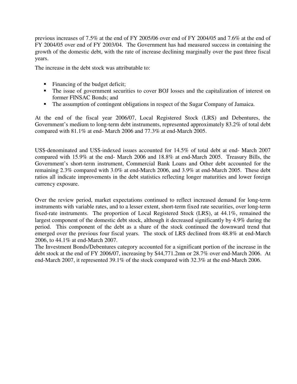previous increases of 7.5% at the end of FY 2005/06 over end of FY 2004/05 and 7.6% at the end of FY 2004/05 over end of FY 2003/04. The Government has had measured success in containing the growth of the domestic debt, with the rate of increase declining marginally over the past three fiscal years.

The increase in the debt stock was attributable to:

- Financing of the budget deficit;
- The issue of government securities to cover BOJ losses and the capitalization of interest on former FINSAC Bonds; and
- The assumption of contingent obligations in respect of the Sugar Company of Jamaica.

At the end of the fiscal year 2006/07, Local Registered Stock (LRS) and Debentures, the Government's medium to long-term debt instruments, represented approximately 83.2% of total debt compared with 81.1% at end- March 2006 and 77.3% at end-March 2005.

US\$-denominated and US\$-indexed issues accounted for 14.5% of total debt at end- March 2007 compared with 15.9% at the end- March 2006 and 18.8% at end-March 2005. Treasury Bills, the Government's short-term instrument, Commercial Bank Loans and Other debt accounted for the remaining 2.3% compared with 3.0% at end-March 2006, and 3.9% at end-March 2005. These debt ratios all indicate improvements in the debt statistics reflecting longer maturities and lower foreign currency exposure.

Over the review period, market expectations continued to reflect increased demand for long-term instruments with variable rates, and to a lesser extent, short-term fixed rate securities, over long-term fixed-rate instruments. The proportion of Local Registered Stock (LRS), at 44.1%, remained the largest component of the domestic debt stock, although it decreased significantly by 4.9% during the period. This component of the debt as a share of the stock continued the downward trend that emerged over the previous four fiscal years. The stock of LRS declined from 48.8% at end-March 2006, to 44.1% at end-March 2007.

The Investment Bonds/Debentures category accounted for a significant portion of the increase in the debt stock at the end of FY 2006/07, increasing by \$44,771.2mn or 28.7% over end-March 2006. At end-March 2007, it represented 39.1% of the stock compared with 32.3% at the end-March 2006.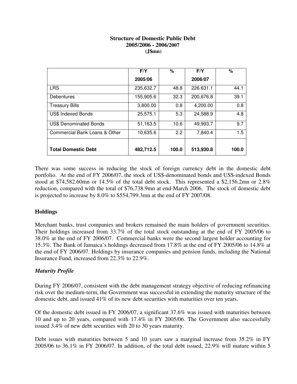#### **Structure of Domestic Public Debt 2005/2006 - 2006/2007 (J\$mn)**

|                               | F/Y       | ℅             | F/Y       | %     |
|-------------------------------|-----------|---------------|-----------|-------|
|                               | 2005/06   |               | 2006/07   |       |
| <b>LRS</b>                    | 235,632.7 | 48.8          | 226.631.1 | 44.1  |
| Debentures                    | 155,905.6 | 32.3          | 200,676.8 | 39.1  |
| <b>Treasury Bills</b>         | 3,800.00  | 0.8           | 4,200.00  | 0.8   |
| <b>US\$ Indexed Bonds</b>     | 25,575.1  | 5.3           | 24,588.9  | 4.8   |
| <b>US\$ Denominated Bonds</b> | 51,163.5  | 10.6          | 49,993.7  | 9.7   |
| Commercial Bank Loans & Other | 10,635.6  | $2.2^{\circ}$ | 7,840.4   | 1.5   |
|                               |           |               |           |       |
| <b>Total Domestic Debt</b>    | 482,712.5 | 100.0         | 513,930.8 | 100.0 |

There was some success in reducing the stock of foreign currency debt in the domestic debt portfolio. At the end of FY 2006/07, the stock of US\$-denominated bonds and US\$-indexed Bonds stood at \$74,582.60mn or 14.5% of the total debt stock. This represented a \$2,156.2mn or 2.8% reduction, compared with the total of \$76,738.9mn at end-March 2006. The stock of domestic debt is projected to increase by 8.0% to \$554,799.3mn at the end of FY 2007/08.

# **Holdings**

Merchant banks, trust companies and brokers remained the main holders of government securities. Their holdings increased from 33.7% of the total stock outstanding at the end of FY 2005/06 to 38.0% at the end of FY 2006/07. Commercial banks were the second largest holder accounting for 15.3%. The Bank of Jamaica's holdings decreased from 17.8% at the end of FY 2005/06 to 14.8% at the end of FY 2006/07. Holdings by insurance companies and pension funds, including the National Insurance Fund, increased from 22.3% to 22.9%.

# *Maturity Profile*

During FY 2006/07, consistent with the debt management strategy objective of reducing refinancing risk over the medium-term, the Government was successful in extending the maturity structure of the domestic debt, and issued 41% of its new debt securities with maturities over ten years.

Of the domestic debt issued in FY 2006/07, a significant 37.6% was issued with maturities between 10 and up to 20 years, compared with 17.4% in FY 2005/06. The Government also successfully issued 3.4% of new debt securities with 20 to 30 years maturity.

Debt issues with maturities between 5 and 10 years saw a marginal increase from 35.2% in FY 2005/06 to 36.1% in FY 2006/07. In addition, of the total debt issued, 22.9% will mature within 5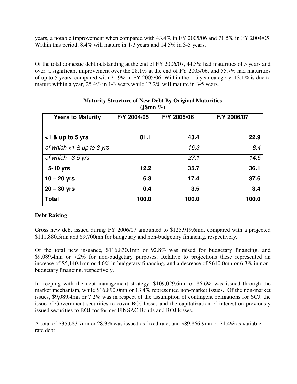years, a notable improvement when compared with 43.4% in FY 2005/06 and 71.5% in FY 2004/05. Within this period, 8.4% will mature in 1-3 years and 14.5% in 3-5 years.

Of the total domestic debt outstanding at the end of FY 2006/07, 44.3% had maturities of 5 years and over, a significant improvement over the 28.1% at the end of FY 2005/06, and 55.7% had maturities of up to 5 years, compared with 71.9% in FY 2005/06. Within the 1-5 year category, 13.1% is due to mature within a year, 25.4% in 1-3 years while 17.2% will mature in 3-5 years.

| <b>Years to Maturity</b>     | F/Y 2004/05 | F/Y 2005/06 | F/Y 2006/07 |
|------------------------------|-------------|-------------|-------------|
|                              |             |             |             |
| $<$ 1 & up to 5 yrs          | 81.1        | 43.4        | 22.9        |
| of which $<$ 1 & up to 3 yrs |             | 16.3        | 8.4         |
| of which 3-5 yrs             |             | 27.1        | 14.5        |
| 5-10 yrs                     | 12.2        | 35.7        | 36.1        |
| $10 - 20$ yrs                | 6.3         | 17.4        | 37.6        |
| $20 - 30$ yrs                | 0.4         | 3.5         | 3.4         |
| <b>Total</b>                 | 100.0       | 100.0       | 100.0       |

#### **Maturity Structure of New Debt By Original Maturities (J\$mn %)**

# **Debt Raising**

Gross new debt issued during FY 2006/07 amounted to \$125,919.6mn, compared with a projected \$111,880.5mn and \$9,700mn for budgetary and non-budgetary financing, respectively.

Of the total new issuance, \$116,830.1mn or 92.8% was raised for budgetary financing, and \$9,089.4mn or 7.2% for non-budgetary purposes. Relative to projections these represented an increase of \$5,140.1mn or 4.6% in budgetary financing, and a decrease of \$610.0mn or 6.3% in nonbudgetary financing, respectively.

In keeping with the debt management strategy, \$109,029.6mn or 86.6% was issued through the market mechanism, while \$16,890.0mn or 13.4% represented non-market issues. Of the non-market issues, \$9,089.4mn or 7.2% was in respect of the assumption of contingent obligations for SCJ, the issue of Government securities to cover BOJ losses and the capitalization of interest on previously issued securities to BOJ for former FINSAC Bonds and BOJ losses.

A total of \$35,683.7mn or 28.3% was issued as fixed rate, and \$89,866.9mn or 71.4% as variable rate debt.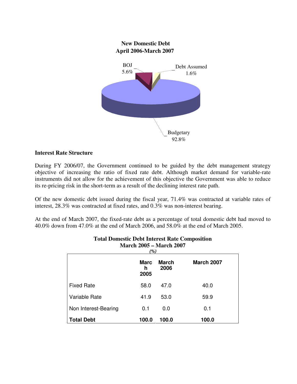

#### **Interest Rate Structure**

During FY 2006/07, the Government continued to be guided by the debt management strategy objective of increasing the ratio of fixed rate debt. Although market demand for variable-rate instruments did not allow for the achievement of this objective the Government was able to reduce its re-pricing risk in the short-term as a result of the declining interest rate path.

Of the new domestic debt issued during the fiscal year, 71.4% was contracted at variable rates of interest, 28.3% was contracted at fixed rates, and 0.3% was non-interest bearing.

At the end of March 2007, the fixed-rate debt as a percentage of total domestic debt had moved to 40.0% down from 47.0% at the end of March 2006, and 58.0% at the end of March 2005.

| Niarch $2005 -$ Niarch $2007$<br>(%) |                          |                      |                   |
|--------------------------------------|--------------------------|----------------------|-------------------|
|                                      | <b>Marc</b><br>h<br>2005 | <b>March</b><br>2006 | <b>March 2007</b> |
| <b>Fixed Rate</b>                    | 58.0                     | 47.0                 | 40.0              |
| Variable Rate                        | 41.9                     | 53.0                 | 59.9              |
| Non Interest-Bearing                 | 0.1                      | 0.0                  | 0.1               |
| <b>Total Debt</b>                    | 100.0                    | 100.0                | 100.0             |

#### **Total Domestic Debt Interest Rate Composition March 2005 – March 2007**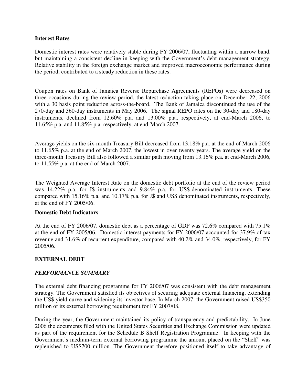#### **Interest Rates**

Domestic interest rates were relatively stable during FY 2006/07, fluctuating within a narrow band, but maintaining a consistent decline in keeping with the Government's debt management strategy. Relative stability in the foreign exchange market and improved macroeconomic performance during the period, contributed to a steady reduction in these rates.

Coupon rates on Bank of Jamaica Reverse Repurchase Agreements (REPOs) were decreased on three occasions during the review period, the latest reduction taking place on December 22, 2006 with a 30 basis point reduction across-the-board. The Bank of Jamaica discontinued the use of the 270-day and 360-day instruments in May 2006. The signal REPO rates on the 30-day and 180-day instruments, declined from 12.60% p.a. and 13.00% p.a., respectively, at end-March 2006, to 11.65% p.a. and 11.85% p.a. respectively, at end-March 2007.

Average yields on the six-month Treasury Bill decreased from 13.18% p.a. at the end of March 2006 to 11.65% p.a. at the end of March 2007, the lowest in over twenty years. The average yield on the three-month Treasury Bill also followed a similar path moving from 13.16% p.a. at end-March 2006, to 11.55% p.a. at the end of March 2007.

The Weighted Average Interest Rate on the domestic debt portfolio at the end of the review period was 14.22% p.a. for J\$ instruments and 9.84% p.a. for US\$-denominated instruments. These compared with 15.16% p.a. and 10.17% p.a. for J\$ and US\$ denominated instruments, respectively, at the end of FY 2005/06.

#### **Domestic Debt Indicators**

At the end of FY 2006/07, domestic debt as a percentage of GDP was 72.6% compared with 75.1% at the end of FY 2005/06. Domestic interest payments for FY 2006/07 accounted for 37.9% of tax revenue and 31.6% of recurrent expenditure, compared with 40.2% and 34.0%, respectively, for FY 2005/06.

#### **EXTERNAL DEBT**

#### *PERFORMANCE SUMMARY*

The external debt financing programme for FY 2006/07 was consistent with the debt management strategy. The Government satisfied its objectives of securing adequate external financing, extending the US\$ yield curve and widening its investor base. In March 2007, the Government raised US\$350 million of its external borrowing requirement for FY 2007/08.

During the year, the Government maintained its policy of transparency and predictability. In June 2006 the documents filed with the United States Securities and Exchange Commission were updated as part of the requirement for the Schedule B Shelf Registration Programme. In keeping with the Government's medium-term external borrowing programme the amount placed on the "Shelf" was replenished to US\$700 million. The Government therefore positioned itself to take advantage of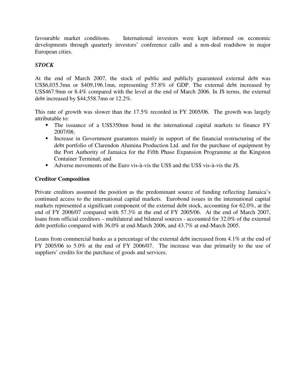favourable market conditions. International investors were kept informed on economic developments through quarterly investors' conference calls and a non-deal roadshow in major European cities.

# *STOCK*

At the end of March 2007, the stock of public and publicly guaranteed external debt was US\$6,035.3mn or \$409,196.1mn, representing 57.8% of GDP. The external debt increased by US\$467.9mn or 8.4% compared with the level at the end of March 2006. In J\$ terms, the external debt increased by \$44,558.7mn or 12.2%.

This rate of growth was slower than the 17.5% recorded in FY 2005/06. The growth was largely attributable to:

- The issuance of a US\$350mn bond in the international capital markets to finance FY 2007/08;
- Increase in Government guarantees mainly in support of the financial restructuring of the debt portfolio of Clarendon Alumina Production Ltd. and for the purchase of equipment by the Port Authority of Jamaica for the Fifth Phase Expansion Programme at the Kingston Container Terminal; and
- Adverse movements of the Euro vis-à-vis the US\$ and the US\$ vis-à-vis the J\$.

# **Creditor Composition**

Private creditors assumed the position as the predominant source of funding reflecting Jamaica's continued access to the international capital markets. Eurobond issues in the international capital markets represented a significant component of the external debt stock, accounting for 62.0%, at the end of FY 2006/07 compared with 57.3% at the end of FY 2005/06. At the end of March 2007, loans from official creditors – multilateral and bilateral sources - accounted for 32.0% of the external debt portfolio compared with 36.0% at end-March 2006, and 43.7% at end-March 2005.

Loans from commercial banks as a percentage of the external debt increased from 4.1% at the end of FY 2005/06 to 5.0% at the end of FY 2006/07. The increase was due primarily to the use of suppliers' credits for the purchase of goods and services.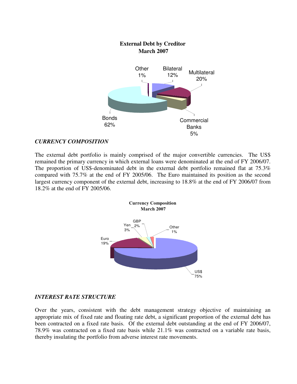# **External Debt by Creditor March 2007** Bonds 62% **Commercial Banks** 5% **Other** 1% Bilateral nateral Multilateral 20%

# *CURRENCY COMPOSITION*

The external debt portfolio is mainly comprised of the major convertible currencies. The US\$ remained the primary currency in which external loans were denominated at the end of FY 2006/07. The proportion of US\$-denominated debt in the external debt portfolio remained flat at 75.3% compared with 75.7% at the end of FY 2005/06. The Euro maintained its position as the second largest currency component of the external debt, increasing to 18.8% at the end of FY 2006/07 from 18.2% at the end of FY 2005/06.



# *INTEREST RATE STRUCTURE*

Over the years, consistent with the debt management strategy objective of maintaining an appropriate mix of fixed rate and floating rate debt, a significant proportion of the external debt has been contracted on a fixed rate basis. Of the external debt outstanding at the end of FY 2006/07, 78.9% was contracted on a fixed rate basis while 21.1% was contracted on a variable rate basis, thereby insulating the portfolio from adverse interest rate movements.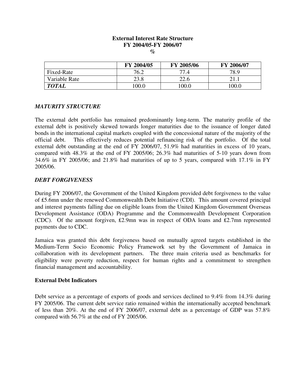## **External Interest Rate Structure FY 2004/05-FY 2006/07**

**%** 

|               | FY 2004/05 | FY 2005/06 | FY 2006/07 |
|---------------|------------|------------|------------|
| Fixed-Rate    | 76.2       | 77.4       | 78.9       |
| Variable Rate | 23.8       | 22.6       |            |
| <b>TOTAL</b>  | 100.0      | 100.0      | 100.0      |

#### *MATURITY STRUCTURE*

The external debt portfolio has remained predominantly long-term. The maturity profile of the external debt is positively skewed towards longer maturities due to the issuance of longer dated bonds in the international capital markets coupled with the concessional nature of the majority of the official debt. This effectively reduces potential refinancing risk of the portfolio. Of the total external debt outstanding at the end of FY 2006/07, 51.9% had maturities in excess of 10 years, compared with 48.3% at the end of FY 2005/06; 26.3% had maturities of 5-10 years down from 34.6% in FY 2005/06; and 21.8% had maturities of up to 5 years, compared with 17.1% in FY 2005/06.

#### *DEBT FORGIVENESS*

During FY 2006/07, the Government of the United Kingdom provided debt forgiveness to the value of ₤5.6mn under the renewed Commonwealth Debt Initiative (CDI). This amount covered principal and interest payments falling due on eligible loans from the United Kingdom Government Overseas Development Assistance (ODA) Programme and the Commonwealth Development Corporation (CDC). Of the amount forgiven, ₤2.9mn was in respect of ODA loans and ₤2.7mn represented payments due to CDC.

Jamaica was granted this debt forgiveness based on mutually agreed targets established in the Medium-Term Socio Economic Policy Framework set by the Government of Jamaica in collaboration with its development partners. The three main criteria used as benchmarks for eligibility were poverty reduction, respect for human rights and a commitment to strengthen financial management and accountability.

#### **External Debt Indicators**

Debt service as a percentage of exports of goods and services declined to 9.4% from 14.3% during FY 2005/06. The current debt service ratio remained within the internationally accepted benchmark of less than 20%. At the end of FY 2006/07, external debt as a percentage of GDP was 57.8% compared with 56.7% at the end of FY 2005/06.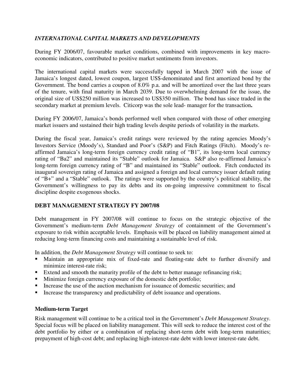# *INTERNATIONAL CAPITAL MARKETS AND DEVELOPMENTS*

During FY 2006/07, favourable market conditions, combined with improvements in key macroeconomic indicators, contributed to positive market sentiments from investors.

The international capital markets were successfully tapped in March 2007 with the issue of Jamaica's longest dated, lowest coupon, largest US\$-denominated and first amortized bond by the Government. The bond carries a coupon of 8.0% p.a. and will be amortized over the last three years of the tenure, with final maturity in March 2039. Due to overwhelming demand for the issue, the original size of US\$250 million was increased to US\$350 million. The bond has since traded in the secondary market at premium levels. Citicorp was the sole lead- manager for the transaction**.** 

During FY 2006/07, Jamaica's bonds performed well when compared with those of other emerging market issuers and sustained their high trading levels despite periods of volatility in the markets.

During the fiscal year, Jamaica's credit ratings were reviewed by the rating agencies Moody's Investors Service (Moody's), Standard and Poor's (S&P) and Fitch Ratings (Fitch). Moody's reaffirmed Jamaica's long-term foreign currency credit rating of "B1", its long-term local currency rating of "Ba2" and maintained its "Stable" outlook for Jamaica. S&P also re-affirmed Jamaica's long-term foreign currency rating of "B" and maintained its "Stable" outlook. Fitch conducted its inaugural sovereign rating of Jamaica and assigned a foreign and local currency issuer default rating of "B+" and a "Stable" outlook. The ratings were supported by the country's political stability, the Government's willingness to pay its debts and its on-going impressive commitment to fiscal discipline despite exogenous shocks.

# **DEBT MANAGEMENT STRATEGY FY 2007/08**

Debt management in FY 2007/08 will continue to focus on the strategic objective of the Government's medium-term *Debt Management Strategy* of containment of the Government's exposure to risk within acceptable levels. Emphasis will be placed on liability management aimed at reducing long-term financing costs and maintaining a sustainable level of risk.

In addition, the *Debt Management Strategy* will continue to seek to:

- Maintain an appropriate mix of fixed-rate and floating-rate debt to further diversify and minimize interest-rate risk;
- **Extend and smooth the maturity profile of the debt to better manage refinancing risk;**
- Minimize foreign currency exposure of the domestic debt portfolio;
- Increase the use of the auction mechanism for issuance of domestic securities; and
- Increase the transparency and predictability of debt issuance and operations.

# **Medium-term Target**

Risk management will continue to be a critical tool in the Government's *Debt Management Strategy*. Special focus will be placed on liability management. This will seek to reduce the interest cost of the debt portfolio by either or a combination of replacing short-term debt with long-term maturities; prepayment of high-cost debt; and replacing high-interest-rate debt with lower interest-rate debt.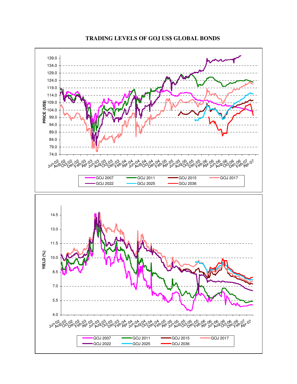

# **TRADING LEVELS OF GOJ US\$ GLOBAL BONDS**

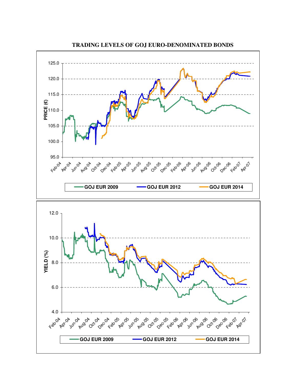

**TRADING LEVELS OF GOJ EURO-DENOMINATED BONDS**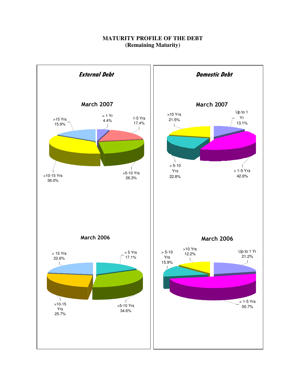# **MATURITY PROFILE OF THE DEBT (Remaining Maturity)**

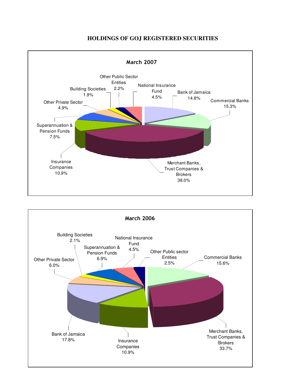

## **HOLDINGS OF GOJ REGISTERED SECURITIES**

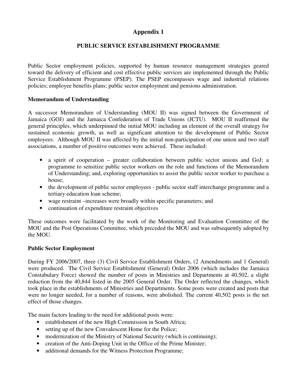# **Appendix 1**

# **PUBLIC SERVICE ESTABLISHMENT PROGRAMME**

Public Sector employment policies, supported by human resource management strategies geared toward the delivery of efficient and cost effective public services are implemented through the Public Service Establishment Programme (PSEP). The PSEP encompasses wage and industrial relations policies; employee benefits plans; public sector employment and pensions administration.

## **Memorandum of Understanding**

A successor Memorandum of Understanding (MOU II) was signed between the Government of Jamaica (GOJ) and the Jamaica Confederation of Trade Unions (JCTU). MOU II reaffirmed the general principles, which underpinned the initial MOU including an element of the overall strategy for sustained economic growth, as well as significant attention to the development of Public Sector employees. Although MOU II was affected by the initial non-participation of one union and two staff associations, a number of positive outcomes were achieved. These included:

- a spirit of cooperation greater collaboration between public sector unions and GoJ; a programme to sensitize public sector workers on the role and functions of the Memorandum of Understanding; and, exploring opportunities to assist the public sector worker to purchase a house;
- the development of public sector employees public sector staff interchange programme and a tertiary education loan scheme;
- wage restraint –increases were broadly within specific parameters; and
- continuation of expenditure restraint objectives

These outcomes were facilitated by the work of the Monitoring and Evaluation Committee of the MOU and the Post Operations Committee, which preceded the MOU and was subsequently adopted by the MOU.

#### **Public Sector Employment**

During FY 2006/2007, three (3) Civil Service Establishment Orders, (2 Amendments and 1 General) were produced. The Civil Service Establishment (General) Order 2006 (which includes the Jamaica Constabulary Force) showed the number of posts in Ministries and Departments at 40,502, a slight reduction from the 40,844 listed in the 2005 General Order. The Order reflected the changes, which took place in the establishments of Ministries and Departments. Some posts were created and posts that were no longer needed, for a number of reasons, were abolished. The current 40,502 posts is the net effect of those changes.

The main factors leading to the need for additional posts were:

- establishment of the new High Commission in South Africa;
- setting up of the new Convalescent Home for the Police;
- modernization of the Ministry of National Security (which is continuing);
- creation of the Anti-Doping Unit in the Office of the Prime Minister;
- additional demands for the Witness Protection Programme;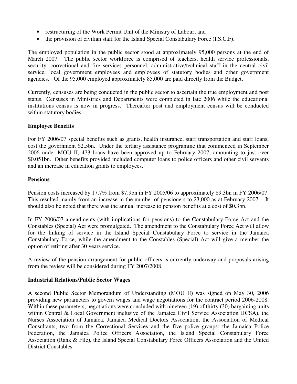- restructuring of the Work Permit Unit of the Ministry of Labour; and
- the provision of civilian staff for the Island Special Constabulary Force (I.S.C.F).

The employed population in the public sector stood at approximately 95,000 persons at the end of March 2007. The public sector workforce is comprised of teachers, health service professionals, security, correctional and fire services personnel, administrative/technical staff in the central civil service, local government employees and employees of statutory bodies and other government agencies. Of the 95,000 employed approximately 85,000 are paid directly from the Budget.

Currently, censuses are being conducted in the public sector to ascertain the true employment and post status. Censuses in Ministries and Departments were completed in late 2006 while the educational institutions census is now in progress. Thereafter post and employment census will be conducted within statutory bodies.

# **Employee Benefits**

For FY 2006/07 special benefits such as grants, health insurance, staff transportation and staff loans, cost the government \$2.5bn. Under the tertiary assistance programme that commenced in September 2006 under MOU II, 473 loans have been approved up to February 2007, amounting to just over \$0.051bn. Other benefits provided included computer loans to police officers and other civil servants and an increase in education grants to employees.

# **Pensions**

Pension costs increased by 17.7% from \$7.9bn in FY 2005/06 to approximately \$9.3bn in FY 2006/07. This resulted mainly from an increase in the number of pensioners to 23,000 as at February 2007. It should also be noted that there was the annual increase to pension benefits at a cost of \$0.3bn.

In FY 2006/07 amendments (with implications for pensions) to the Constabulary Force Act and the Constables (Special) Act were promulgated. The amendment to the Constabulary Force Act will allow for the linking of service in the Island Special Constabulary Force to service in the Jamaica Constabulary Force, while the amendment to the Constables (Special) Act will give a member the option of retiring after 30 years service.

A review of the pension arrangement for public officers is currently underway and proposals arising from the review will be considered during FY 2007/2008.

# **Industrial Relations/Public Sector Wages**

A second Public Sector Memorandum of Understanding (MOU II) was signed on May 30, 2006 providing new parameters to govern wages and wage negotiations for the contract period 2006-2008. Within these parameters, negotiations were concluded with nineteen (19) of thirty (30) bargaining units within Central & Local Government inclusive of the Jamaica Civil Service Association (JCSA), the Nurses Association of Jamaica, Jamaica Medical Doctors Association, the Association of Medical Consultants, two from the Correctional Services and the five police groups: the Jamaica Police Federation, the Jamaica Police Officers Association, the Island Special Constabulary Force Association (Rank & File), the Island Special Constabulary Force Officers Association and the United District Constables.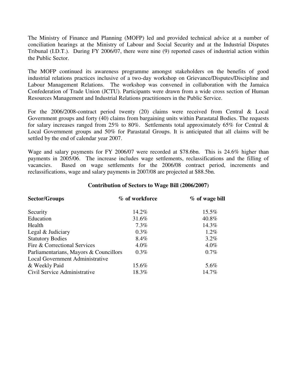The Ministry of Finance and Planning (MOFP) led and provided technical advice at a number of conciliation hearings at the Ministry of Labour and Social Security and at the Industrial Disputes Tribunal (I.D.T.). During FY 2006/07, there were nine (9) reported cases of industrial action within the Public Sector.

The MOFP continued its awareness programme amongst stakeholders on the benefits of good industrial relations practices inclusive of a two-day workshop on Grievance/Disputes/Discipline and Labour Management Relations. The workshop was convened in collaboration with the Jamaica Confederation of Trade Union (JCTU). Participants were drawn from a wide cross section of Human Resources Management and Industrial Relations practitioners in the Public Service.

For the 2006/2008-contract period twenty (20) claims were received from Central & Local Government groups and forty (40) claims from bargaining units within Parastatal Bodies. The requests for salary increases ranged from 25% to 80%. Settlements total approximately 65% for Central  $\&$ Local Government groups and 50% for Parastatal Groups. It is anticipated that all claims will be settled by the end of calendar year 2007.

Wage and salary payments for FY 2006/07 were recorded at \$78.6bn. This is 24.6% higher than payments in 2005/06. The increase includes wage settlements, reclassifications and the filling of vacancies. Based on wage settlements for the 2006/08 contract period, increments and reclassifications, wage and salary payments in 2007/08 are projected at \$88.5bn.

# **Contribution of Sectors to Wage Bill (2006/2007)**

| <b>Sector/Groups</b>                   | % of workforce | $%$ of wage bill |
|----------------------------------------|----------------|------------------|
| Security                               | 14.2%          | 15.5%            |
| Education                              | 31.6%          | 40.8%            |
| Health                                 | $7.3\%$        | 14.3%            |
| Legal & Judiciary                      | $0.3\%$        | $1.2\%$          |
| <b>Statutory Bodies</b>                | 8.4%           | 3.2%             |
| Fire & Correctional Services           | $4.0\%$        | $4.0\%$          |
| Parliamentarians, Mayors & Councillors | $0.3\%$        | $0.7\%$          |
| Local Government Administrative        |                |                  |
| & Weekly Paid                          | 15.6%          | 5.6%             |
| Civil Service Administrative           | 18.3%          | 14.7%            |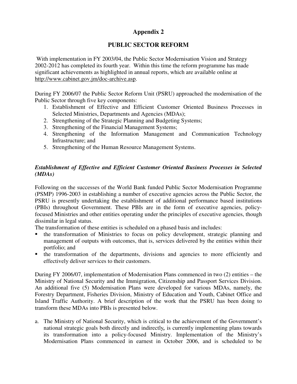# **Appendix 2**

# **PUBLIC SECTOR REFORM**

 With implementation in FY 2003/04, the Public Sector Modernisation Vision and Strategy 2002-2012 has completed its fourth year. Within this time the reform programme has made significant achievements as highlighted in annual reports, which are available online at http://www.cabinet.gov.jm/doc-archive.asp.

During FY 2006/07 the Public Sector Reform Unit (PSRU) approached the modernisation of the Public Sector through five key components:

- 1. Establishment of Effective and Efficient Customer Oriented Business Processes in Selected Ministries, Departments and Agencies (MDAs);
- 2. Strengthening of the Strategic Planning and Budgeting Systems;
- 3. Strengthening of the Financial Management Systems;
- 4. Strengthening of the Information Management and Communication Technology Infrastructure; and
- 5. Strengthening of the Human Resource Management Systems.

# *Establishment of Effective and Efficient Customer Oriented Business Processes in Selected (MDAs)*

Following on the successes of the World Bank funded Public Sector Modernisation Programme (PSMP) 1996-2003 in establishing a number of executive agencies across the Public Sector, the PSRU is presently undertaking the establishment of additional performance based institutions (PBIs) throughout Government. These PBIs are in the form of executive agencies, policyfocused Ministries and other entities operating under the principles of executive agencies, though dissimilar in legal status.

The transformation of these entities is scheduled on a phased basis and includes:

- the transformation of Ministries to focus on policy development, strategic planning and management of outputs with outcomes, that is, services delivered by the entities within their portfolio; and
- the transformation of the departments, divisions and agencies to more efficiently and effectively deliver services to their customers.

During FY 2006/07, implementation of Modernisation Plans commenced in two (2) entities – the Ministry of National Security and the Immigration, Citizenship and Passport Services Division. An additional five (5) Modernisation Plans were developed for various MDAs, namely, the Forestry Department, Fisheries Division, Ministry of Education and Youth, Cabinet Office and Island Traffic Authority. A brief description of the work that the PSRU has been doing to transform these MDAs into PBIs is presented below.

a. The Ministry of National Security, which is critical to the achievement of the Government's national strategic goals both directly and indirectly*,* is currently implementing plans towards its transformation into a policy-focused Ministry. Implementation of the Ministry's Modernisation Plans commenced in earnest in October 2006, and is scheduled to be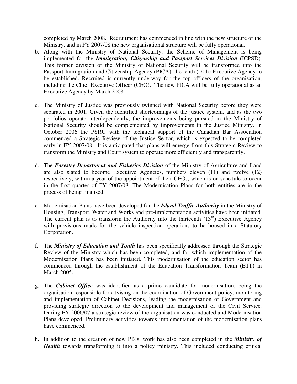completed by March 2008. Recruitment has commenced in line with the new structure of the Ministry, and in FY 2007/08 the new organisational structure will be fully operational.

- b. Along with the Ministry of National Security, the Scheme of Management is being implemented for the *Immigration, Citizenship and Passport Services Division* (ICPSD). This former division of the Ministry of National Security will be transformed into the Passport Immigration and Citizenship Agency (PICA), the tenth (10th) Executive Agency to be established. Recruited is currently underway for the top officers of the organisation, including the Chief Executive Officer (CEO). The new PICA will be fully operational as an Executive Agency by March 2008.
- c. The Ministry of Justice was previously twinned with National Security before they were separated in 2001. Given the identified shortcomings of the justice system, and as the two portfolios operate interdependently, the improvements being pursued in the Ministry of National Security should be complemented by improvements in the Justice Ministry. In October 2006 the PSRU with the technical support of the Canadian Bar Association commenced a Strategic Review of the Justice Sector, which is expected to be completed early in FY 2007/08. It is anticipated that plans will emerge from this Strategic Review to transform the Ministry and Court system to operate more efficiently and transparently.
- d. The *Forestry Department and Fisheries Division* of the Ministry of Agriculture and Land are also slated to become Executive Agencies, numbers eleven (11) and twelve (12) respectively, within a year of the appointment of their CEOs, which is on schedule to occur in the first quarter of FY 2007/08. The Modernisation Plans for both entities are in the process of being finalised.
- e. Modernisation Plans have been developed for the *Island Traffic Authority* in the Ministry of Housing, Transport, Water and Works and pre-implementation activities have been initiated. The current plan is to transform the Authority into the thirteenth  $(13<sup>th</sup>)$  Executive Agency with provisions made for the vehicle inspection operations to be housed in a Statutory Corporation.
- f. The *Ministry of Education and Youth* has been specifically addressed through the Strategic Review of the Ministry which has been completed, and for which implementation of the Modernisation Plans has been initiated. This modernisation of the education sector has commenced through the establishment of the Education Transformation Team (ETT) in March 2005.
- g. The *Cabinet Office* was identified as a prime candidate for modernisation, being the organisation responsible for advising on the coordination of Government policy, monitoring and implementation of Cabinet Decisions, leading the modernisation of Government and providing strategic direction to the development and management of the Civil Service. During FY 2006/07 a strategic review of the organisation was conducted and Modernisation Plans developed. Preliminary activities towards implementation of the modernisation plans have commenced.
- h. In addition to the creation of new PBIs, work has also been completed in the *Ministry of Health* towards transforming it into a policy ministry. This included conducting critical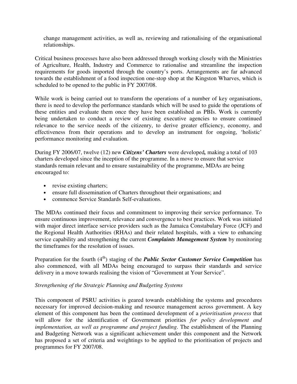change management activities, as well as, reviewing and rationalising of the organisational relationships.

Critical business processes have also been addressed through working closely with the Ministries of Agriculture, Health, Industry and Commerce to rationalise and streamline the inspection requirements for goods imported through the country's ports. Arrangements are far advanced towards the establishment of a food inspection one-stop shop at the Kingston Wharves, which is scheduled to be opened to the public in FY 2007/08.

While work is being carried out to transform the operations of a number of key organisations, there is need to develop the performance standards which will be used to guide the operations of these entities and evaluate them once they have been established as PBIs. Work is currently being undertaken to conduct a review of existing executive agencies to ensure continued relevance to the service needs of the citizenry, to derive greater efficiency, economy, and effectiveness from their operations and to develop an instrument for ongoing, 'holistic' performance monitoring and evaluation.

During FY 2006/07, twelve (12) new *Citizens' Charters* were developed*,* making a total of 103 charters developed since the inception of the programme. In a move to ensure that service standards remain relevant and to ensure sustainability of the programme, MDAs are being encouraged to:

- revise existing charters;
- ensure full dissemination of Charters throughout their organisations; and
- commence Service Standards Self-evaluations.

The MDAs continued their focus and commitment to improving their service performance. To ensure continuous improvement, relevance and convergence to best practices. Work was initiated with major direct interface service providers such as the Jamaica Constabulary Force (JCF) and the Regional Health Authorities (RHAs) and their related hospitals, with a view to enhancing service capability and strengthening the current *Complaints Management System* by monitoring the timeframes for the resolution of issues.

Preparation for the fourth (4<sup>th</sup>) staging of the *Public Sector Customer Service Competition* has also commenced, with all MDAs being encouraged to surpass their standards and service delivery in a move towards realising the vision of "Government at Your Service".

#### *Strengthening of the Strategic Planning and Budgeting Systems*

This component of PSRU activities is geared towards establishing the systems and procedures necessary for improved decision-making and resource management across government. A key element of this component has been the continued development of a *prioritisation process* that will allow for the identification of Government priorities *for policy development and implementation, as well as programme and project funding*. The establishment of the Planning and Budgeting Network was a significant achievement under this component and the Network has proposed a set of criteria and weightings to be applied to the prioritisation of projects and programmes for FY 2007/08.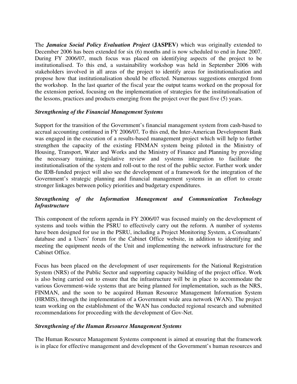The *Jamaica Social Policy Evaluation Project* **(JASPEV)** which was originally extended to December 2006 has been extended for six (6) months and is now scheduled to end in June 2007. During FY 2006/07, much focus was placed on identifying aspects of the project to be institutionalised. To this end, a sustainability workshop was held in September 2006 with stakeholders involved in all areas of the project to identify areas for institutionalisation and propose how that institutionalisation should be effected. Numerous suggestions emerged from the workshop. In the last quarter of the fiscal year the output teams worked on the proposal for the extension period, focusing on the implementation of strategies for the institutionalisation of the lessons, practices and products emerging from the project over the past five (5) years.

## *Strengthening of the Financial Management Systems*

Support for the transition of the Government's financial management system from cash-based to accrual accounting continued in FY 2006/07*.* To this end, the Inter-American Development Bank was engaged in the execution of a results-based management project which will help to further strengthen the capacity of the existing FINMAN system being piloted in the Ministry of Housing, Transport, Water and Works and the Ministry of Finance and Planning by providing the necessary training, legislative review and systems integration to facilitate the institutionalisation of the system and roll-out to the rest of the public sector. Further work under the IDB-funded project will also see the development of a framework for the integration of the Government's strategic planning and financial management systems in an effort to create stronger linkages between policy priorities and budgetary expenditures.

# *Strengthening of the Information Management and Communication Technology Infrastructure*

This component of the reform agenda in FY 2006/07 was focused mainly on the development of systems and tools within the PSRU to effectively carry out the reform. A number of systems have been designed for use in the PSRU, including a Project Monitoring System, a Consultants' database and a Users' forum for the Cabinet Office website, in addition to identifying and meeting the equipment needs of the Unit and implementing the network infrastructure for the Cabinet Office.

Focus has been placed on the development of user requirements for the National Registration System (NRS) of the Public Sector and supporting capacity building of the project office. Work is also being carried out to ensure that the infrastructure will be in place to accommodate the various Government-wide systems that are being planned for implementation, such as the NRS, FINMAN, and the soon to be acquired Human Resource Management Information System (HRMIS), through the implementation of a Government wide area network (WAN). The project team working on the establishment of the WAN has conducted regional research and submitted recommendations for proceeding with the development of Gov-Net.

# *Strengthening of the Human Resource Management Systems*

The Human Resource Management Systems component is aimed at ensuring that the framework is in place for effective management and development of the Government's human resources and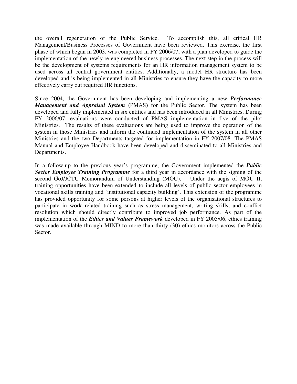the overall regeneration of the Public Service. To accomplish this, all critical HR Management/Business Processes of Government have been reviewed. This exercise, the first phase of which began in 2003, was completed in FY 2006/07, with a plan developed to guide the implementation of the newly re-engineered business processes. The next step in the process will be the development of systems requirements for an HR information management system to be used across all central government entities. Additionally, a model HR structure has been developed and is being implemented in all Ministries to ensure they have the capacity to more effectively carry out required HR functions.

Since 2004, the Government has been developing and implementing a new *Performance Management and Appraisal System* (PMAS) for the Public Sector. The system has been developed and fully implemented in six entities and has been introduced in all Ministries. During FY 2006/07, evaluations were conducted of PMAS implementation in five of the pilot Ministries. The results of these evaluations are being used to improve the operation of the system in those Ministries and inform the continued implementation of the system in all other Ministries and the two Departments targeted for implementation in FY 2007/08. The PMAS Manual and Employee Handbook have been developed and disseminated to all Ministries and Departments.

In a follow-up to the previous year's programme, the Government implemented the *Public Sector Employee Training Programme* for a third year in accordance with the signing of the second GoJ/JCTU Memorandum of Understanding (MOU). Under the aegis of MOU II, training opportunities have been extended to include all levels of public sector employees in vocational skills training and 'institutional capacity building'. This extension of the programme has provided opportunity for some persons at higher levels of the organisational structures to participate in work related training such as stress management, writing skills, and conflict resolution which should directly contribute to improved job performance. As part of the implementation of the *Ethics and Values Framework* developed in FY 2005/06, ethics training was made available through MIND to more than thirty (30) ethics monitors across the Public Sector.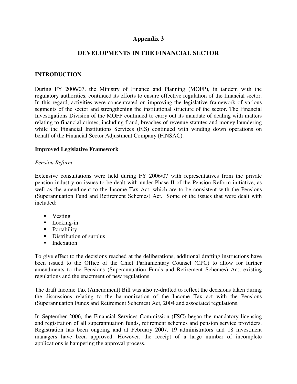# **Appendix 3**

# **DEVELOPMENTS IN THE FINANCIAL SECTOR**

## **INTRODUCTION**

During FY 2006/07, the Ministry of Finance and Planning (MOFP), in tandem with the regulatory authorities, continued its efforts to ensure effective regulation of the financial sector. In this regard, activities were concentrated on improving the legislative framework of various segments of the sector and strengthening the institutional structure of the sector. The Financial Investigations Division of the MOFP continued to carry out its mandate of dealing with matters relating to financial crimes, including fraud, breaches of revenue statutes and money laundering while the Financial Institutions Services (FIS) continued with winding down operations on behalf of the Financial Sector Adjustment Company (FINSAC).

#### **Improved Legislative Framework**

#### *Pension Reform*

Extensive consultations were held during FY 2006/07 with representatives from the private pension industry on issues to be dealt with under Phase II of the Pension Reform initiative, as well as the amendment to the Income Tax Act, which are to be consistent with the Pensions (Superannuation Fund and Retirement Schemes) Act. Some of the issues that were dealt with included:

- Vesting
- **Locking-in**
- Portability
- Distribution of surplus
- **Indexation**

To give effect to the decisions reached at the deliberations, additional drafting instructions have been issued to the Office of the Chief Parliamentary Counsel (CPC) to allow for further amendments to the Pensions (Superannuation Funds and Retirement Schemes) Act, existing regulations and the enactment of new regulations.

The draft Income Tax (Amendment) Bill was also re-drafted to reflect the decisions taken during the discussions relating to the harmonization of the Income Tax act with the Pensions (Superannuation Funds and Retirement Schemes) Act, 2004 and associated regulations.

In September 2006, the Financial Services Commission (FSC) began the mandatory licensing and registration of all superannuation funds, retirement schemes and pension service providers. Registration has been ongoing and at February 2007, 19 administrators and 18 investment managers have been approved. However, the receipt of a large number of incomplete applications is hampering the approval process.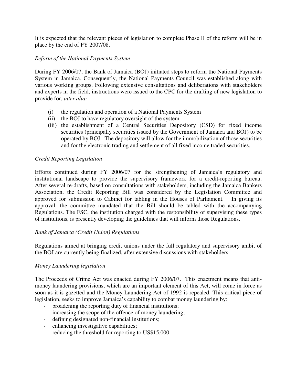It is expected that the relevant pieces of legislation to complete Phase II of the reform will be in place by the end of FY 2007/08.

#### *Reform of the National Payments System*

During FY 2006/07, the Bank of Jamaica (BOJ) initiated steps to reform the National Payments System in Jamaica. Consequently, the National Payments Council was established along with various working groups. Following extensive consultations and deliberations with stakeholders and experts in the field, instructions were issued to the CPC for the drafting of new legislation to provide for, *inter alia:* 

- (i) the regulation and operation of a National Payments System
- (ii) the BOJ to have regulatory oversight of the system
- (iii) the establishment of a Central Securities Depository (CSD) for fixed income securities (principally securities issued by the Government of Jamaica and BOJ) to be operated by BOJ. The depository will allow for the immobilization of those securities and for the electronic trading and settlement of all fixed income traded securities.

## *Credit Reporting Legislation*

Efforts continued during FY 2006/07 for the strengthening of Jamaica's regulatory and institutional landscape to provide the supervisory framework for a credit-reporting bureau. After several re-drafts, based on consultations with stakeholders, including the Jamaica Bankers Association, the Credit Reporting Bill was considered by the Legislation Committee and approved for submission to Cabinet for tabling in the Houses of Parliament. In giving its approval, the committee mandated that the Bill should be tabled with the accompanying Regulations. The FSC, the institution charged with the responsibility of supervising these types of institutions, is presently developing the guidelines that will inform those Regulations.

#### *Bank of Jamaica (Credit Union) Regulations*

Regulations aimed at bringing credit unions under the full regulatory and supervisory ambit of the BOJ are currently being finalized, after extensive discussions with stakeholders.

#### *Money Laundering legislation*

The Proceeds of Crime Act was enacted during FY 2006/07. This enactment means that antimoney laundering provisions, which are an important element of this Act, will come in force as soon as it is gazetted and the Money Laundering Act of 1992 is repealed. This critical piece of legislation, seeks to improve Jamaica's capability to combat money laundering by:

- broadening the reporting duty of financial institutions;
- increasing the scope of the offence of money laundering;
- defining designated non-financial institutions;
- enhancing investigative capabilities;
- reducing the threshold for reporting to US\$15,000.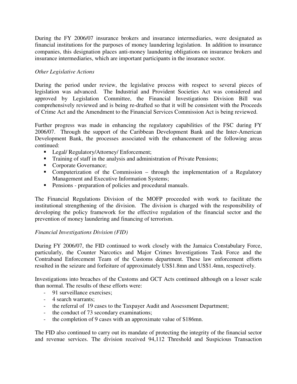During the FY 2006/07 insurance brokers and insurance intermediaries, were designated as financial institutions for the purposes of money laundering legislation. In addition to insurance companies, this designation places anti-money laundering obligations on insurance brokers and insurance intermediaries, which are important participants in the insurance sector.

# *Other Legislative Actions*

During the period under review, the legislative process with respect to several pieces of legislation was advanced. The Industrial and Provident Societies Act was considered and approved by Legislation Committee, the Financial Investigations Division Bill was comprehensively reviewed and is being re-drafted so that it will be consistent with the Proceeds of Crime Act and the Amendment to the Financial Services Commission Act is being reviewed.

Further progress was made in enhancing the regulatory capabilities of the FSC during FY 2006/07. Through the support of the Caribbean Development Bank and the Inter-American Development Bank, the processes associated with the enhancement of the following areas continued:

- **Legal/ Regulatory/Attorney/ Enforcement;**
- **Training of staff in the analysis and administration of Private Pensions;**
- Corporate Governance;
- Computerization of the Commission through the implementation of a Regulatory Management and Executive Information Systems;
- Pensions preparation of policies and procedural manuals.

The Financial Regulations Division of the MOFP proceeded with work to facilitate the institutional strengthening of the division. The division is charged with the responsibility of developing the policy framework for the effective regulation of the financial sector and the prevention of money laundering and financing of terrorism.

# *Financial Investigations Division (FID)*

During FY 2006/07, the FID continued to work closely with the Jamaica Constabulary Force, particularly, the Counter Narcotics and Major Crimes Investigations Task Force and the Contraband Enforcement Team of the Customs department. These law enforcement efforts resulted in the seizure and forfeiture of approximately US\$1.8mn and US\$1.4mn, respectively.

Investigations into breaches of the Customs and GCT Acts continued although on a lesser scale than normal. The results of these efforts were:

- 91 surveillance exercises;
- 4 search warrants;
- the referral of 19 cases to the Taxpayer Audit and Assessment Department;
- the conduct of 73 secondary examinations;
- the completion of 9 cases with an approximate value of \$186mn.

The FID also continued to carry out its mandate of protecting the integrity of the financial sector and revenue services. The division received 94,112 Threshold and Suspicious Transaction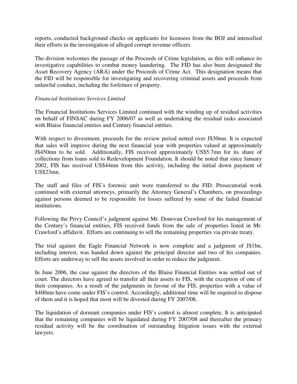reports, conducted background checks on applicants for licensees from the BOJ and intensified their efforts in the investigation of alleged corrupt revenue officers.

The division welcomes the passage of the Proceeds of Crime legislation, as this will enhance its investigative capabilities to combat money laundering. The FID has also been designated the Asset Recovery Agency (ARA) under the Proceeds of Crime Act. This designation means that the FID will be responsible for investigating and recovering criminal assets and proceeds from unlawful conduct, including the forfeiture of property.

#### *Financial Institutions Services Limited*

The Financial Institutions Services Limited continued with the winding up of residual activities on behalf of FINSAC during FY 2006/07 as well as undertaking the residual tasks associated with Blaise financial entities and Century financial entities.

With respect to divestment, proceeds for the review period netted over J\$30mn. It is expected that sales will improve during the next financial year with properties valued at approximately J\$450mn to be sold. Additionally, FIS received approximately US\$5.7mn for its share of collections from loans sold to Redevelopment Foundation. It should be noted that since January 2002, FIS has received US\$44mn from this activity, including the initial down payment of US\$23mn.

The staff and files of FIS's forensic unit were transferred to the FID. Prosecutorial work continued with external attorneys, primarily the Attorney General's Chambers, on proceedings against persons deemed to be responsible for losses suffered by some of the failed financial institutions.

Following the Privy Council's judgment against Mr. Donovan Crawford for his management of the Century's financial entities, FIS received funds from the sale of properties listed in Mr. Crawford's affidavit. Efforts are continuing to sell the remaining properties via private treaty.

The trial against the Eagle Financial Network is now complete and a judgment of J\$1bn, including interest, was handed down against the principal director and two of his companies. Efforts are underway to sell the assets involved in order to reduce the judgment.

In June 2006, the case against the directors of the Blaise Financial Entities was settled out of court. The directors have agreed to transfer all their assets to FIS, with the exception of one of their companies. As a result of the judgments in favour of the FIS, properties with a value of \$400mn have come under FIS's control. Accordingly, additional time will be required to dispose of them and it is hoped that most will be divested during FY 2007/08.

The liquidation of dormant companies under FIS's control is almost complete. It is anticipated that the remaining companies will be liquidated during FY 2007/08 and thereafter the primary residual activity will be the coordination of outstanding litigation issues with the external lawyers.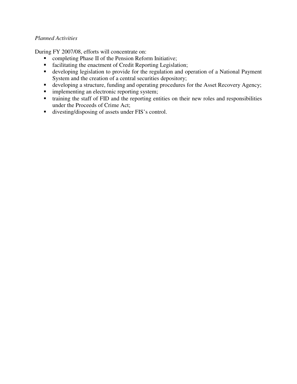## *Planned Activities*

During FY 2007/08, efforts will concentrate on:

- **•** completing Phase II of the Pension Reform Initiative;
- facilitating the enactment of Credit Reporting Legislation;
- developing legislation to provide for the regulation and operation of a National Payment System and the creation of a central securities depository;
- developing a structure, funding and operating procedures for the Asset Recovery Agency;
- **implementing an electronic reporting system;**
- training the staff of FID and the reporting entities on their new roles and responsibilities under the Proceeds of Crime Act;
- divesting/disposing of assets under FIS's control.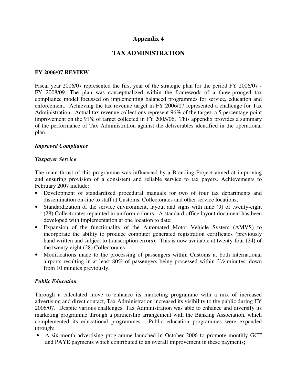# **Appendix 4**

# **TAX ADMINISTRATION**

#### **FY 2006/07 REVIEW**

Fiscal year 2006/07 represented the first year of the strategic plan for the period FY 2006/07 - FY 2008/09. The plan was conceptualized within the framework of a three-pronged tax compliance model focussed on implementing balanced programmes for service, education and enforcement. Achieving the tax revenue target in FY 2006/07 represented a challenge for Tax Administration. Actual tax revenue collections represent 96% of the target, a 5 percentage point improvement on the 91% of target collected in FY 2005/06. This appendix provides a summary of the performance of Tax Administration against the deliverables identified in the operational plan.

#### *Improved Compliance*

#### *Taxpayer Service*

The main thrust of this programme was influenced by a Branding Project aimed at improving and ensuring provision of a consistent and reliable service to tax payers. Achievements to February 2007 include:

- Development of standardized procedural manuals for two of four tax departments and dissemination on-line to staff at Customs, Collectorates and other service locations;
- Standardization of the service environment, layout and signs with nine (9) of twenty-eight (28) Collectorates repainted in uniform colours. A standard office layout document has been developed with implementation at one location to date;
- Expansion of the functionality of the Automated Motor Vehicle System (AMVS) to incorporate the ability to produce computer generated registration certificates (previously hand written and subject to transcription errors). This is now available at twenty-four (24) of the twenty-eight (28) Collectorates;
- Modifications made to the processing of passengers within Customs at both international airports resulting in at least 80% of passengers being processed within 3½ minutes, down from 10 minutes previously.

#### *Public Education*

Through a calculated move to enhance its marketing programme with a mix of increased advertising and direct contact, Tax Administration increased its visibility to the public during FY 2006/07. Despite various challenges, Tax Administration was able to enhance and diversify its marketing programme through a partnership arrangement with the Banking Association, which complemented its educational programmes. Public education programmes were expanded through:

• A six-month advertising programme launched in October 2006 to promote monthly GCT and PAYE payments which contributed to an overall improvement in these payments;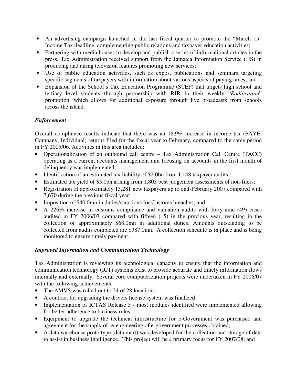- An advertising campaign launched in the last fiscal quarter to promote the "March 15" Income Tax deadline, complementing public relations and taxpayer education activities;
- Partnering with media houses to develop and publish a series of informational articles in the press. Tax Administration received support from the Jamaica Information Service (JIS) in producing and airing television features promoting new services;
- Use of public education activities, such as expos, publications and seminars targeting specific segments of taxpayers with information about various aspects of paying taxes; and
- Expansion of the School's Tax Education Programme (STEP) that targets high school and tertiary level students through partnership with RJR in their weekly "*Radiocation*" promotion, which allows for additional exposure through live broadcasts from schools across the island.

# *Enforcement*

Overall compliance results indicate that there was an 18.9% increase in income tax (PAYE, Company, Individual) returns filed for the fiscal year to February, compared to the same period in FY 2005/06. Activities in this area included:

- Operationalization of an outbound call centre Tax Administration Call Centre (TACC) operating as a current accounts management unit focusing on accounts in the first month of delinquency was implemented;
- Identification of an estimated tax liability of \$2.0bn from 1,148 taxpayer audits;
- Estimated tax yield of \$3.0bn arising from 1,803 best judgement assessments of non-filers;
- Registration of approximately 13,281 new taxpayers up to end-February 2007 compared with 7,670 during the previous fiscal year;
- Imposition of \$40.0mn in duties/sanctions for Customs breaches; and
- A 226% increase in customs compliance and valuation audits with forty-nine (49) cases audited in FY 2006/07 compared with fifteen (15) in the previous year, resulting in the collection of approximately \$68.0mn in additional duties. Amounts outstanding to be collected from audits completed are \$387.0mn. A collection schedule is in place and is being monitored to ensure timely payment.

# *Improved Information and Communication Technology*

Tax Administration is reviewing its technological capacity to ensure that the information and communication technology (ICT) systems exist to provide accurate and timely information flows internally and externally. Several core computerization projects were undertaken in FY 2006/07 with the following achievements:

- The AMVS was rolled out to 24 of 28 locations;
- A contract for upgrading the drivers license system was finalized;
- Implementation of ICTAS Release 5 most modules identified were implemented allowing for better adherence to business rules;
- Equipment to upgrade the technical infrastructure for e-Government was purchased and agreement for the supply of re-engineering of e-government processes obtained;
- A data warehouse proto type (data mart) was developed for the collection and storage of data to assist in business intelligence. This project will be a primary focus for FY 2007/08; and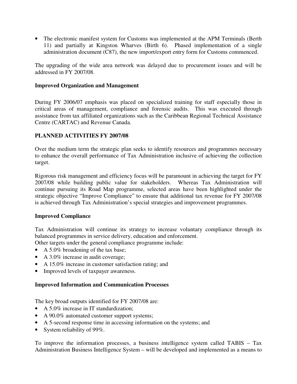• The electronic manifest system for Customs was implemented at the APM Terminals (Berth 11) and partially at Kingston Wharves (Birth 6). Phased implementation of a single administration document (C87), the new import/export entry form for Customs commenced.

The upgrading of the wide area network was delayed due to procurement issues and will be addressed in FY 2007/08.

#### **Improved Organization and Management**

During FY 2006/07 emphasis was placed on specialized training for staff especially those in critical areas of management, compliance and forensic audits. This was executed through assistance from tax affiliated organizations such as the Caribbean Regional Technical Assistance Centre (CARTAC) and Revenue Canada.

# **PLANNED ACTIVITIES FY 2007/08**

Over the medium term the strategic plan seeks to identify resources and programmes necessary to enhance the overall performance of Tax Administration inclusive of achieving the collection target.

Rigorous risk management and efficiency focus will be paramount in achieving the target for FY 2007/08 while building public value for stakeholders. Whereas Tax Administration will continue pursuing its Road Map programme, selected areas have been highlighted under the strategic objective "Improve Compliance" to ensure that additional tax revenue for FY 2007/08 is achieved through Tax Administration's special strategies and improvement programmes.

#### **Improved Compliance**

Tax Administration will continue its strategy to increase voluntary compliance through its balanced programmes in service delivery, education and enforcement.

Other targets under the general compliance programme include:

- A 5.0% broadening of the tax base;
- A 3.0% increase in audit coverage;
- A 15.0% increase in customer satisfaction rating; and
- Improved levels of taxpayer awareness.

#### **Improved Information and Communication Processes**

The key broad outputs identified for FY 2007/08 are:

- A 5.0% increase in IT standardization:
- A 90.0% automated customer support systems;
- A 5-second response time in accessing information on the systems; and
- System reliability of 99%.

To improve the information processes, a business intelligence system called TABIS – Tax Administration Business Intelligence System – will be developed and implemented as a means to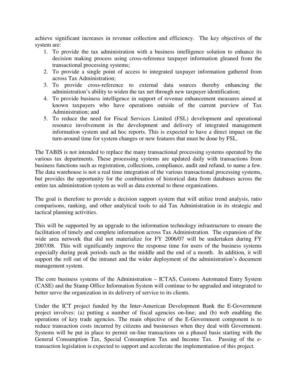achieve significant increases in revenue collection and efficiency. The key objectives of the system are:

- 1. To provide the tax administration with a business intelligence solution to enhance its decision making process using cross-reference taxpayer information gleaned from the transactional processing systems;
- 2. To provide a single point of access to integrated taxpayer information gathered from across Tax Administration;
- 3. To provide cross-reference to external data sources thereby enhancing the administration's ability to widen the tax net through new taxpayer identification;
- 4. To provide business intelligence in support of revenue enhancement measures aimed at known taxpayers who have operations outside of the current purview of Tax Administration; and
- 5. To reduce the need for Fiscal Services Limited (FSL) development and operational resource involvement in the development and delivery of integrated management information system and ad hoc reports. This is expected to have a direct impact on the turn-around time for system changes or new features that must be done by FSL.

The TABIS is not intended to replace the many transactional processing systems operated by the various tax departments. These processing systems are updated daily with transactions from business functions such as registration, collections, compliance, audit and refund, to name a few. The data warehouse is not a real time integration of the various transactional processing systems, but provides the opportunity for the combination of historical data from databases across the entire tax administration system as well as data external to these organizations.

The goal is therefore to provide a decision support system that will utilize trend analysis, ratio comparisons, ranking, and other analytical tools to aid Tax Administration in its strategic and tactical planning activities.

This will be supported by an upgrade to the information technology infrastructure to ensure the facilitation of timely and complete information across Tax Administration. The expansion of the wide area network that did not materialize for FY 2006/07 will be undertaken during FY 2007/08. This will significantly improve the response time for users of the business systems especially during peak periods such as the middle and the end of a month. In addition, it will support the roll out of the intranet and the wider deployment of the administration's document management system.

The core business systems of the Administration – ICTAS, Customs Automated Entry System (CASE) and the Stamp Office Information System will continue to be upgraded and integrated to better serve the organization in its delivery of service to its clients.

Under the ICT project funded by the Inter-American Development Bank the E-Government project involves: (a) putting a number of fiscal agencies on-line; and (b) web enabling the operations of key trade agencies. The main objective of the E-Government component is to reduce transaction costs incurred by citizens and businesses when they deal with Government. Systems will be put in place to permit on-line transactions on a phased basis starting with the General Consumption Tax, Special Consumption Tax and Income Tax. Passing of the etransaction legislation is expected to support and accelerate the implementation of this project.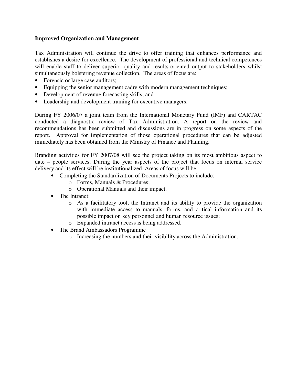### **Improved Organization and Management**

Tax Administration will continue the drive to offer training that enhances performance and establishes a desire for excellence. The development of professional and technical competences will enable staff to deliver superior quality and results-oriented output to stakeholders whilst simultaneously bolstering revenue collection. The areas of focus are:

- Forensic or large case auditors;
- Equipping the senior management cadre with modern management techniques;
- Development of revenue forecasting skills; and
- Leadership and development training for executive managers.

During FY 2006/07 a joint team from the International Monetary Fund (IMF) and CARTAC conducted a diagnostic review of Tax Administration. A report on the review and recommendations has been submitted and discussions are in progress on some aspects of the report. Approval for implementation of those operational procedures that can be adjusted immediately has been obtained from the Ministry of Finance and Planning.

Branding activities for FY 2007/08 will see the project taking on its most ambitious aspect to date – people services. During the year aspects of the project that focus on internal service delivery and its effect will be institutionalized. Areas of focus will be:

- Completing the Standardization of Documents Projects to include:
	- o Forms, Manuals & Procedures;
	- o Operational Manuals and their impact.
- The Intranet:
	- o As a facilitatory tool, the Intranet and its ability to provide the organization with immediate access to manuals, forms, and critical information and its possible impact on key personnel and human resource issues;
	- o Expanded intranet access is being addressed.
- The Brand Ambassadors Programme
	- o Increasing the numbers and their visibility across the Administration.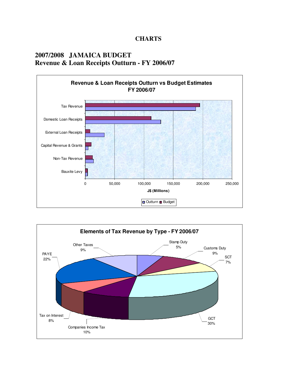## **CHARTS**

# **2007/2008 JAMAICA BUDGET Revenue & Loan Receipts Outturn - FY 2006/07**



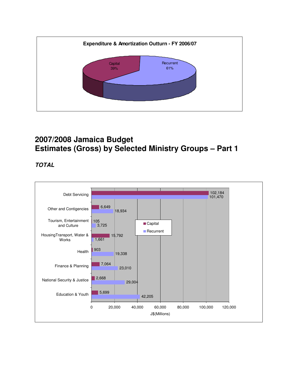

# **2007/2008 Jamaica Budget Estimates (Gross) by Selected Ministry Groups – Part 1**

**TOTAL** 

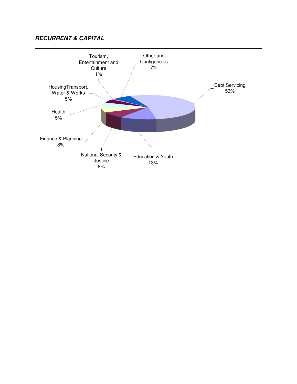## **RECURRENT & CAPITAL**

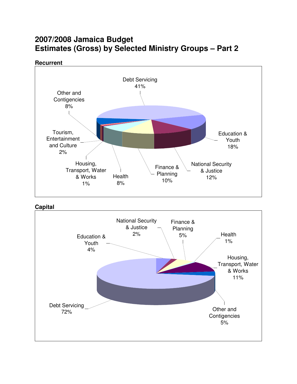# **2007/2008 Jamaica Budget Estimates (Gross) by Selected Ministry Groups – Part 2**

**Recurrent**



**Capital**

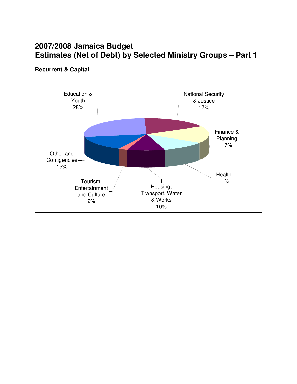# **2007/2008 Jamaica Budget Estimates (Net of Debt) by Selected Ministry Groups – Part 1**

## **Recurrent & Capital**

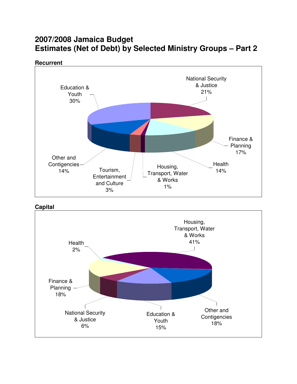# **2007/2008 Jamaica Budget Estimates (Net of Debt) by Selected Ministry Groups – Part 2**







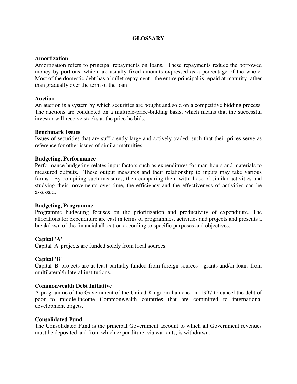## **GLOSSARY**

#### **Amortization**

Amortization refers to principal repayments on loans. These repayments reduce the borrowed money by portions, which are usually fixed amounts expressed as a percentage of the whole. Most of the domestic debt has a bullet repayment - the entire principal is repaid at maturity rather than gradually over the term of the loan.

#### **Auction**

An auction is a system by which securities are bought and sold on a competitive bidding process. The auctions are conducted on a multiple-price-bidding basis, which means that the successful investor will receive stocks at the price he bids.

#### **Benchmark Issues**

Issues of securities that are sufficiently large and actively traded, such that their prices serve as reference for other issues of similar maturities.

#### **Budgeting, Performance**

Performance budgeting relates input factors such as expenditures for man-hours and materials to measured outputs. These output measures and their relationship to inputs may take various forms. By compiling such measures, then comparing them with those of similar activities and studying their movements over time, the efficiency and the effectiveness of activities can be assessed.

#### **Budgeting, Programme**

Programme budgeting focuses on the prioritization and productivity of expenditure. The allocations for expenditure are cast in terms of programmes, activities and projects and presents a breakdown of the financial allocation according to specific purposes and objectives.

#### **Capital 'A'**

Capital 'A' projects are funded solely from local sources.

#### **Capital 'B'**

Capital 'B' projects are at least partially funded from foreign sources - grants and/or loans from multilateral/bilateral institutions.

#### **Commonwealth Debt Initiative**

A programme of the Government of the United Kingdom launched in 1997 to cancel the debt of poor to middle-income Commonwealth countries that are committed to international development targets.

#### **Consolidated Fund**

The Consolidated Fund is the principal Government account to which all Government revenues must be deposited and from which expenditure, via warrants, is withdrawn.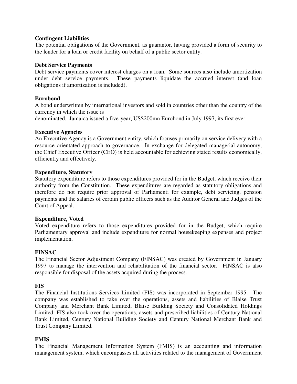#### **Contingent Liabilities**

The potential obligations of the Government, as guarantor, having provided a form of security to the lender for a loan or credit facility on behalf of a public sector entity.

#### **Debt Service Payments**

Debt service payments cover interest charges on a loan. Some sources also include amortization under debt service payments. These payments liquidate the accrued interest (and loan obligations if amortization is included).

#### **Eurobond**

A bond underwritten by international investors and sold in countries other than the country of the currency in which the issue is

denominated. Jamaica issued a five-year, US\$200mn Eurobond in July 1997, its first ever.

#### **Executive Agencies**

An Executive Agency is a Government entity, which focuses primarily on service delivery with a resource orientated approach to governance. In exchange for delegated managerial autonomy, the Chief Executive Officer (CEO) is held accountable for achieving stated results economically, efficiently and effectively.

#### **Expenditure, Statutory**

Statutory expenditure refers to those expenditures provided for in the Budget, which receive their authority from the Constitution. These expenditures are regarded as statutory obligations and therefore do not require prior approval of Parliament; for example, debt servicing, pension payments and the salaries of certain public officers such as the Auditor General and Judges of the Court of Appeal.

#### **Expenditure, Voted**

Voted expenditure refers to those expenditures provided for in the Budget, which require Parliamentary approval and include expenditure for normal housekeeping expenses and project implementation.

#### **FINSAC**

The Financial Sector Adjustment Company (FINSAC) was created by Government in January 1997 to manage the intervention and rehabilitation of the financial sector. FINSAC is also responsible for disposal of the assets acquired during the process.

#### **FIS**

The Financial Institutions Services Limited (FIS) was incorporated in September 1995. The company was established to take over the operations, assets and liabilities of Blaise Trust Company and Merchant Bank Limited, Blaise Building Society and Consolidated Holdings Limited. FIS also took over the operations, assets and prescribed liabilities of Century National Bank Limited, Century National Building Society and Century National Merchant Bank and Trust Company Limited.

#### **FMIS**

The Financial Management Information System (FMIS) is an accounting and information management system, which encompasses all activities related to the management of Government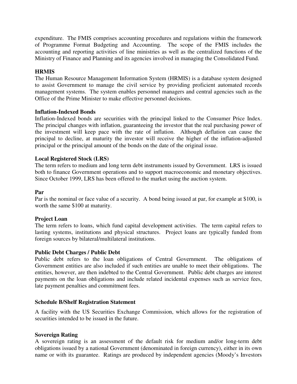expenditure. The FMIS comprises accounting procedures and regulations within the framework of Programme Format Budgeting and Accounting. The scope of the FMIS includes the accounting and reporting activities of line ministries as well as the centralized functions of the Ministry of Finance and Planning and its agencies involved in managing the Consolidated Fund.

## **HRMIS**

The Human Resource Management Information System (HRMIS) is a database system designed to assist Government to manage the civil service by providing proficient automated records management systems. The system enables personnel managers and central agencies such as the Office of the Prime Minister to make effective personnel decisions.

#### **Inflation-Indexed Bonds**

Inflation-Indexed bonds are securities with the principal linked to the Consumer Price Index. The principal changes with inflation, guaranteeing the investor that the real purchasing power of the investment will keep pace with the rate of inflation. Although deflation can cause the principal to decline, at maturity the investor will receive the higher of the inflation-adjusted principal or the principal amount of the bonds on the date of the original issue.

#### **Local Registered Stock (LRS)**

The term refers to medium and long term debt instruments issued by Government. LRS is issued both to finance Government operations and to support macroeconomic and monetary objectives. Since October 1999, LRS has been offered to the market using the auction system.

#### **Par**

Par is the nominal or face value of a security. A bond being issued at par, for example at \$100, is worth the same \$100 at maturity.

#### **Project Loan**

The term refers to loans, which fund capital development activities. The term capital refers to lasting systems, institutions and physical structures. Project loans are typically funded from foreign sources by bilateral/multilateral institutions.

#### **Public Debt Charges / Public Debt**

Public debt refers to the loan obligations of Central Government. The obligations of Government entities are also included if such entities are unable to meet their obligations. The entities, however, are then indebted to the Central Government. Public debt charges are interest payments on the loan obligations and include related incidental expenses such as service fees, late payment penalties and commitment fees.

#### **Schedule B/Shelf Registration Statement**

A facility with the US Securities Exchange Commission, which allows for the registration of securities intended to be issued in the future.

#### **Sovereign Rating**

A sovereign rating is an assessment of the default risk for medium and/or long-term debt obligations issued by a national Government (denominated in foreign currency), either in its own name or with its guarantee. Ratings are produced by independent agencies (Moody's Investors